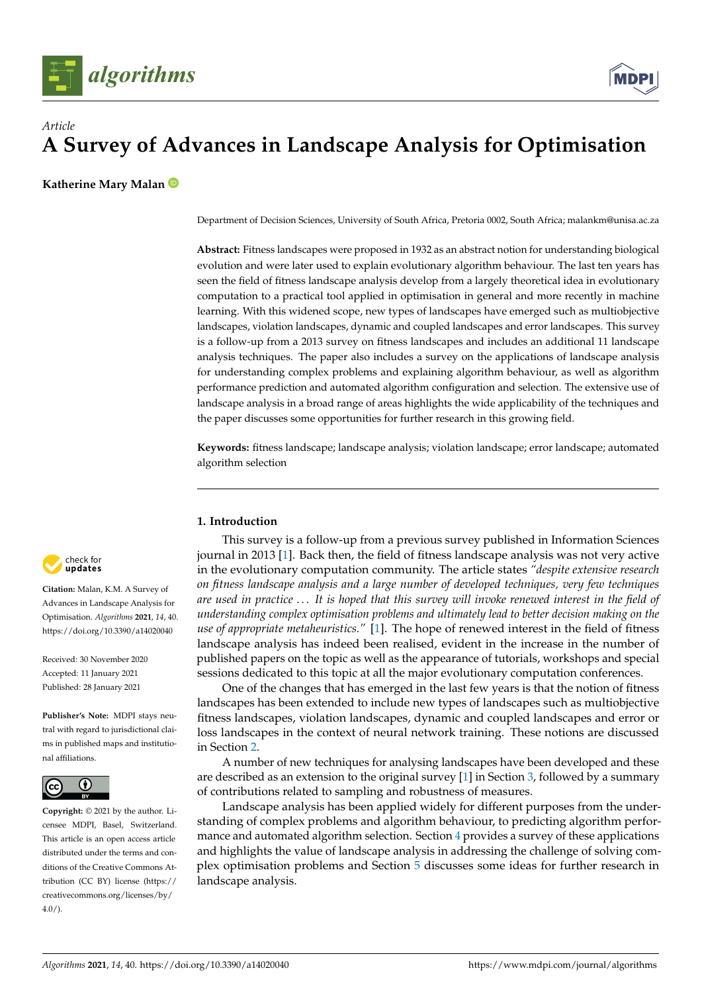

# *Article* **A Survey of Advances in Landscape Analysis for Optimisation**

**Katherine Mary Malan**

Department of Decision Sciences, University of South Africa, Pretoria 0002, South Africa; malankm@unisa.ac.za

**Abstract:** Fitness landscapes were proposed in 1932 as an abstract notion for understanding biological evolution and were later used to explain evolutionary algorithm behaviour. The last ten years has seen the field of fitness landscape analysis develop from a largely theoretical idea in evolutionary computation to a practical tool applied in optimisation in general and more recently in machine learning. With this widened scope, new types of landscapes have emerged such as multiobjective landscapes, violation landscapes, dynamic and coupled landscapes and error landscapes. This survey is a follow-up from a 2013 survey on fitness landscapes and includes an additional 11 landscape analysis techniques. The paper also includes a survey on the applications of landscape analysis for understanding complex problems and explaining algorithm behaviour, as well as algorithm performance prediction and automated algorithm configuration and selection. The extensive use of landscape analysis in a broad range of areas highlights the wide applicability of the techniques and the paper discusses some opportunities for further research in this growing field.

**Keywords:** fitness landscape; landscape analysis; violation landscape; error landscape; automated algorithm selection

# **1. Introduction**

This survey is a follow-up from a previous survey published in Information Sciences journal in 2013 [\[1\]](#page-10-0). Back then, the field of fitness landscape analysis was not very active in the evolutionary computation community. The article states *"despite extensive research on fitness landscape analysis and a large number of developed techniques, very few techniques are used in practice . . . It is hoped that this survey will invoke renewed interest in the field of understanding complex optimisation problems and ultimately lead to better decision making on the use of appropriate metaheuristics."* [\[1\]](#page-10-0). The hope of renewed interest in the field of fitness landscape analysis has indeed been realised, evident in the increase in the number of published papers on the topic as well as the appearance of tutorials, workshops and special sessions dedicated to this topic at all the major evolutionary computation conferences.

One of the changes that has emerged in the last few years is that the notion of fitness landscapes has been extended to include new types of landscapes such as multiobjective fitness landscapes, violation landscapes, dynamic and coupled landscapes and error or loss landscapes in the context of neural network training. These notions are discussed in Section [2.](#page-1-0)

A number of new techniques for analysing landscapes have been developed and these are described as an extension to the original survey [\[1\]](#page-10-0) in Section [3,](#page-2-0) followed by a summary of contributions related to sampling and robustness of measures.

Landscape analysis has been applied widely for different purposes from the understanding of complex problems and algorithm behaviour, to predicting algorithm performance and automated algorithm selection. Section [4](#page-6-0) provides a survey of these applications and highlights the value of landscape analysis in addressing the challenge of solving complex optimisation problems and Section [5](#page-9-0) discusses some ideas for further research in landscape analysis.



**Citation:** Malan, K.M. A Survey of Advances in Landscape Analysis for Optimisation. *Algorithms* **2021**, *14*, 40. <https://doi.org/10.3390/a14020040>

Received: 30 November 2020 Accepted: 11 January 2021 Published: 28 January 2021

**Publisher's Note:** MDPI stays neutral with regard to jurisdictional claims in published maps and institutional affiliations.



**Copyright:** © 2021 by the author. Licensee MDPI, Basel, Switzerland. This article is an open access article distributed under the terms and conditions of the Creative Commons Attribution (CC BY) license [\(https://](https://creativecommons.org/licenses/by/4.0/) [creativecommons.org/licenses/by/](https://creativecommons.org/licenses/by/4.0/)  $4.0/$ ).

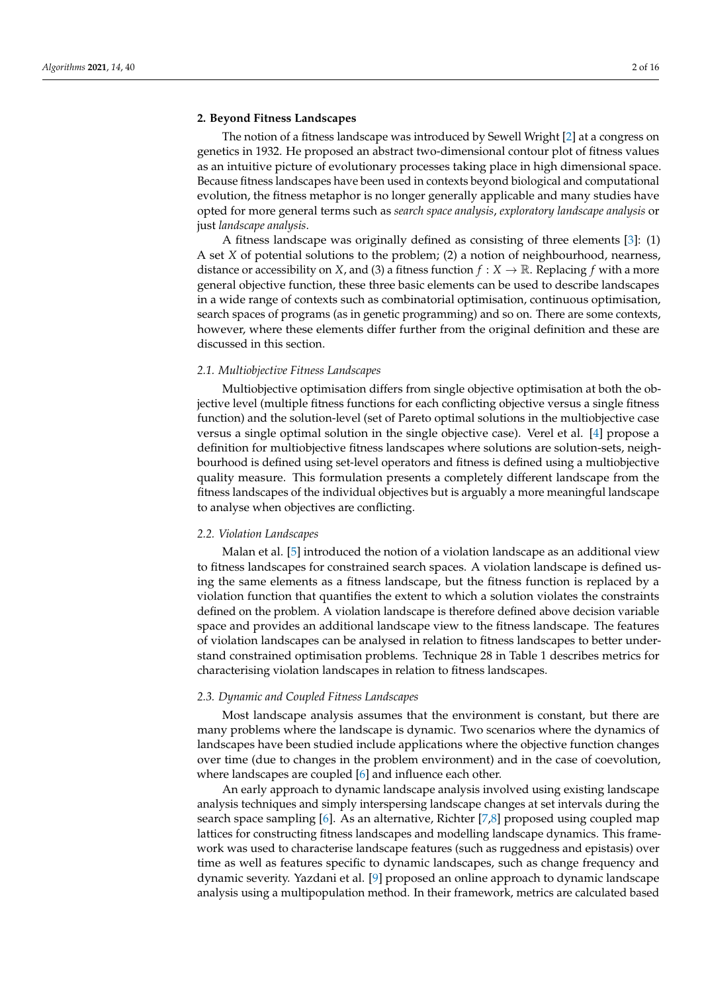#### <span id="page-1-0"></span>**2. Beyond Fitness Landscapes**

The notion of a fitness landscape was introduced by Sewell Wright [\[2\]](#page-10-1) at a congress on genetics in 1932. He proposed an abstract two-dimensional contour plot of fitness values as an intuitive picture of evolutionary processes taking place in high dimensional space. Because fitness landscapes have been used in contexts beyond biological and computational evolution, the fitness metaphor is no longer generally applicable and many studies have opted for more general terms such as *search space analysis*, *exploratory landscape analysis* or just *landscape analysis*.

A fitness landscape was originally defined as consisting of three elements [\[3\]](#page-10-2): (1) A set *X* of potential solutions to the problem; (2) a notion of neighbourhood, nearness, distance or accessibility on *X*, and (3) a fitness function  $f : X \to \mathbb{R}$ . Replacing f with a more general objective function, these three basic elements can be used to describe landscapes in a wide range of contexts such as combinatorial optimisation, continuous optimisation, search spaces of programs (as in genetic programming) and so on. There are some contexts, however, where these elements differ further from the original definition and these are discussed in this section.

# *2.1. Multiobjective Fitness Landscapes*

Multiobjective optimisation differs from single objective optimisation at both the objective level (multiple fitness functions for each conflicting objective versus a single fitness function) and the solution-level (set of Pareto optimal solutions in the multiobjective case versus a single optimal solution in the single objective case). Verel et al. [\[4\]](#page-10-3) propose a definition for multiobjective fitness landscapes where solutions are solution-sets, neighbourhood is defined using set-level operators and fitness is defined using a multiobjective quality measure. This formulation presents a completely different landscape from the fitness landscapes of the individual objectives but is arguably a more meaningful landscape to analyse when objectives are conflicting.

#### *2.2. Violation Landscapes*

Malan et al. [\[5\]](#page-10-4) introduced the notion of a violation landscape as an additional view to fitness landscapes for constrained search spaces. A violation landscape is defined using the same elements as a fitness landscape, but the fitness function is replaced by a violation function that quantifies the extent to which a solution violates the constraints defined on the problem. A violation landscape is therefore defined above decision variable space and provides an additional landscape view to the fitness landscape. The features of violation landscapes can be analysed in relation to fitness landscapes to better understand constrained optimisation problems. Technique 28 in Table 1 describes metrics for characterising violation landscapes in relation to fitness landscapes.

#### *2.3. Dynamic and Coupled Fitness Landscapes*

Most landscape analysis assumes that the environment is constant, but there are many problems where the landscape is dynamic. Two scenarios where the dynamics of landscapes have been studied include applications where the objective function changes over time (due to changes in the problem environment) and in the case of coevolution, where landscapes are coupled [\[6\]](#page-10-5) and influence each other.

An early approach to dynamic landscape analysis involved using existing landscape analysis techniques and simply interspersing landscape changes at set intervals during the search space sampling [\[6\]](#page-10-5). As an alternative, Richter [\[7,](#page-10-6)[8\]](#page-10-7) proposed using coupled map lattices for constructing fitness landscapes and modelling landscape dynamics. This framework was used to characterise landscape features (such as ruggedness and epistasis) over time as well as features specific to dynamic landscapes, such as change frequency and dynamic severity. Yazdani et al. [\[9\]](#page-10-8) proposed an online approach to dynamic landscape analysis using a multipopulation method. In their framework, metrics are calculated based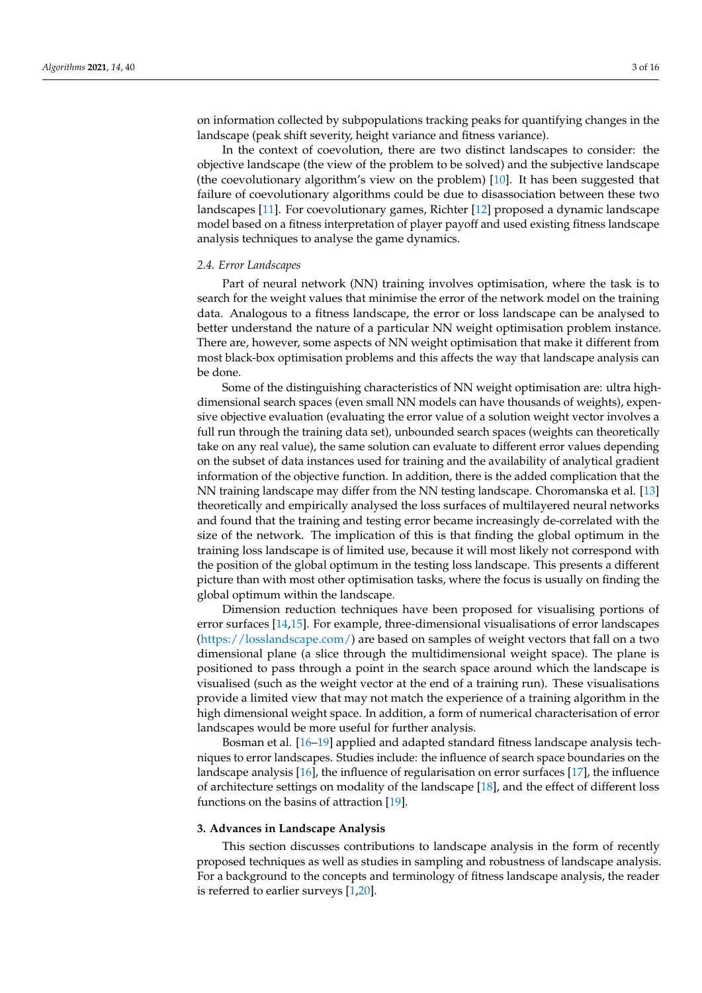on information collected by subpopulations tracking peaks for quantifying changes in the landscape (peak shift severity, height variance and fitness variance).

In the context of coevolution, there are two distinct landscapes to consider: the objective landscape (the view of the problem to be solved) and the subjective landscape (the coevolutionary algorithm's view on the problem) [\[10\]](#page-10-9). It has been suggested that failure of coevolutionary algorithms could be due to disassociation between these two landscapes [\[11\]](#page-10-10). For coevolutionary games, Richter [\[12\]](#page-10-11) proposed a dynamic landscape model based on a fitness interpretation of player payoff and used existing fitness landscape analysis techniques to analyse the game dynamics.

#### *2.4. Error Landscapes*

Part of neural network (NN) training involves optimisation, where the task is to search for the weight values that minimise the error of the network model on the training data. Analogous to a fitness landscape, the error or loss landscape can be analysed to better understand the nature of a particular NN weight optimisation problem instance. There are, however, some aspects of NN weight optimisation that make it different from most black-box optimisation problems and this affects the way that landscape analysis can be done.

Some of the distinguishing characteristics of NN weight optimisation are: ultra highdimensional search spaces (even small NN models can have thousands of weights), expensive objective evaluation (evaluating the error value of a solution weight vector involves a full run through the training data set), unbounded search spaces (weights can theoretically take on any real value), the same solution can evaluate to different error values depending on the subset of data instances used for training and the availability of analytical gradient information of the objective function. In addition, there is the added complication that the NN training landscape may differ from the NN testing landscape. Choromanska et al. [\[13\]](#page-10-12) theoretically and empirically analysed the loss surfaces of multilayered neural networks and found that the training and testing error became increasingly de-correlated with the size of the network. The implication of this is that finding the global optimum in the training loss landscape is of limited use, because it will most likely not correspond with the position of the global optimum in the testing loss landscape. This presents a different picture than with most other optimisation tasks, where the focus is usually on finding the global optimum within the landscape.

Dimension reduction techniques have been proposed for visualising portions of error surfaces [\[14,](#page-10-13)[15\]](#page-10-14). For example, three-dimensional visualisations of error landscapes [\(https://losslandscape.com/\)](https://losslandscape.com/) are based on samples of weight vectors that fall on a two dimensional plane (a slice through the multidimensional weight space). The plane is positioned to pass through a point in the search space around which the landscape is visualised (such as the weight vector at the end of a training run). These visualisations provide a limited view that may not match the experience of a training algorithm in the high dimensional weight space. In addition, a form of numerical characterisation of error landscapes would be more useful for further analysis.

Bosman et al. [\[16](#page-10-15)[–19\]](#page-10-16) applied and adapted standard fitness landscape analysis techniques to error landscapes. Studies include: the influence of search space boundaries on the landscape analysis [\[16\]](#page-10-15), the influence of regularisation on error surfaces [\[17\]](#page-10-17), the influence of architecture settings on modality of the landscape [\[18\]](#page-10-18), and the effect of different loss functions on the basins of attraction [\[19\]](#page-10-16).

### <span id="page-2-0"></span>**3. Advances in Landscape Analysis**

This section discusses contributions to landscape analysis in the form of recently proposed techniques as well as studies in sampling and robustness of landscape analysis. For a background to the concepts and terminology of fitness landscape analysis, the reader is referred to earlier surveys [\[1,](#page-10-0)[20\]](#page-10-19).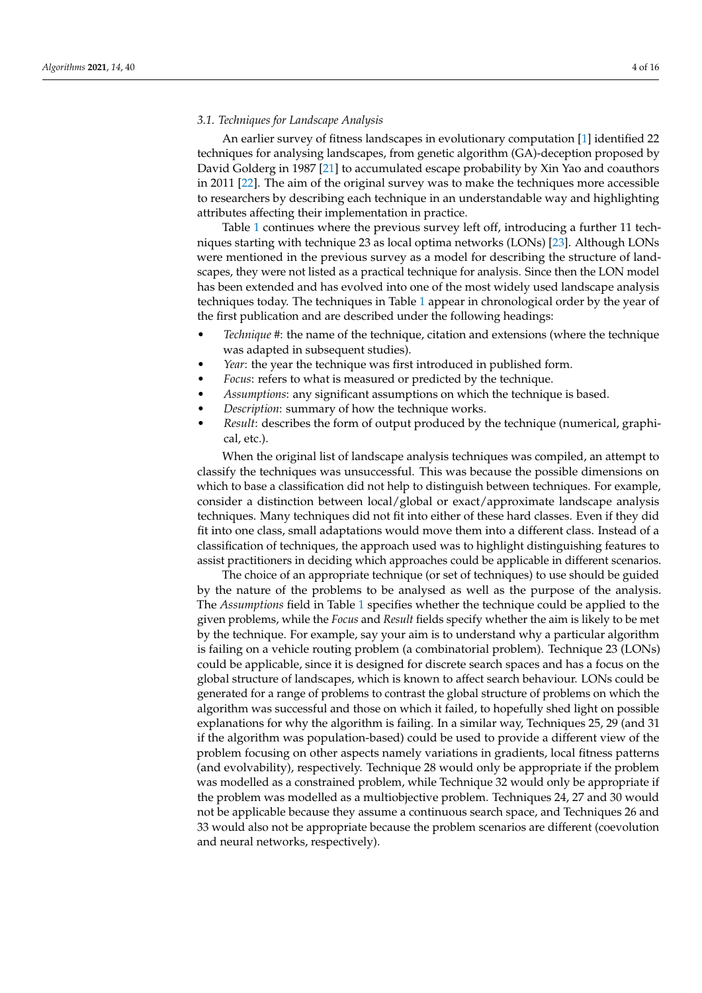# *3.1. Techniques for Landscape Analysis*

An earlier survey of fitness landscapes in evolutionary computation [\[1\]](#page-10-0) identified 22 techniques for analysing landscapes, from genetic algorithm (GA)-deception proposed by David Golderg in 1987 [\[21\]](#page-10-20) to accumulated escape probability by Xin Yao and coauthors in 2011 [\[22\]](#page-10-21). The aim of the original survey was to make the techniques more accessible to researchers by describing each technique in an understandable way and highlighting attributes affecting their implementation in practice.

Table [1](#page-4-0) continues where the previous survey left off, introducing a further 11 techniques starting with technique 23 as local optima networks (LONs) [\[23\]](#page-10-22). Although LONs were mentioned in the previous survey as a model for describing the structure of landscapes, they were not listed as a practical technique for analysis. Since then the LON model has been extended and has evolved into one of the most widely used landscape analysis techniques today. The techniques in Table [1](#page-4-0) appear in chronological order by the year of the first publication and are described under the following headings:

- *Technique #*: the name of the technique, citation and extensions (where the technique was adapted in subsequent studies).
- Year: the year the technique was first introduced in published form.
- *Focus*: refers to what is measured or predicted by the technique.
- *Assumptions*: any significant assumptions on which the technique is based.
- *Description*: summary of how the technique works.
- *Result*: describes the form of output produced by the technique (numerical, graphical, etc.).

When the original list of landscape analysis techniques was compiled, an attempt to classify the techniques was unsuccessful. This was because the possible dimensions on which to base a classification did not help to distinguish between techniques. For example, consider a distinction between local/global or exact/approximate landscape analysis techniques. Many techniques did not fit into either of these hard classes. Even if they did fit into one class, small adaptations would move them into a different class. Instead of a classification of techniques, the approach used was to highlight distinguishing features to assist practitioners in deciding which approaches could be applicable in different scenarios.

The choice of an appropriate technique (or set of techniques) to use should be guided by the nature of the problems to be analysed as well as the purpose of the analysis. The *Assumptions* field in Table [1](#page-4-0) specifies whether the technique could be applied to the given problems, while the *Focus* and *Result* fields specify whether the aim is likely to be met by the technique. For example, say your aim is to understand why a particular algorithm is failing on a vehicle routing problem (a combinatorial problem). Technique 23 (LONs) could be applicable, since it is designed for discrete search spaces and has a focus on the global structure of landscapes, which is known to affect search behaviour. LONs could be generated for a range of problems to contrast the global structure of problems on which the algorithm was successful and those on which it failed, to hopefully shed light on possible explanations for why the algorithm is failing. In a similar way, Techniques 25, 29 (and 31 if the algorithm was population-based) could be used to provide a different view of the problem focusing on other aspects namely variations in gradients, local fitness patterns (and evolvability), respectively. Technique 28 would only be appropriate if the problem was modelled as a constrained problem, while Technique 32 would only be appropriate if the problem was modelled as a multiobjective problem. Techniques 24, 27 and 30 would not be applicable because they assume a continuous search space, and Techniques 26 and 33 would also not be appropriate because the problem scenarios are different (coevolution and neural networks, respectively).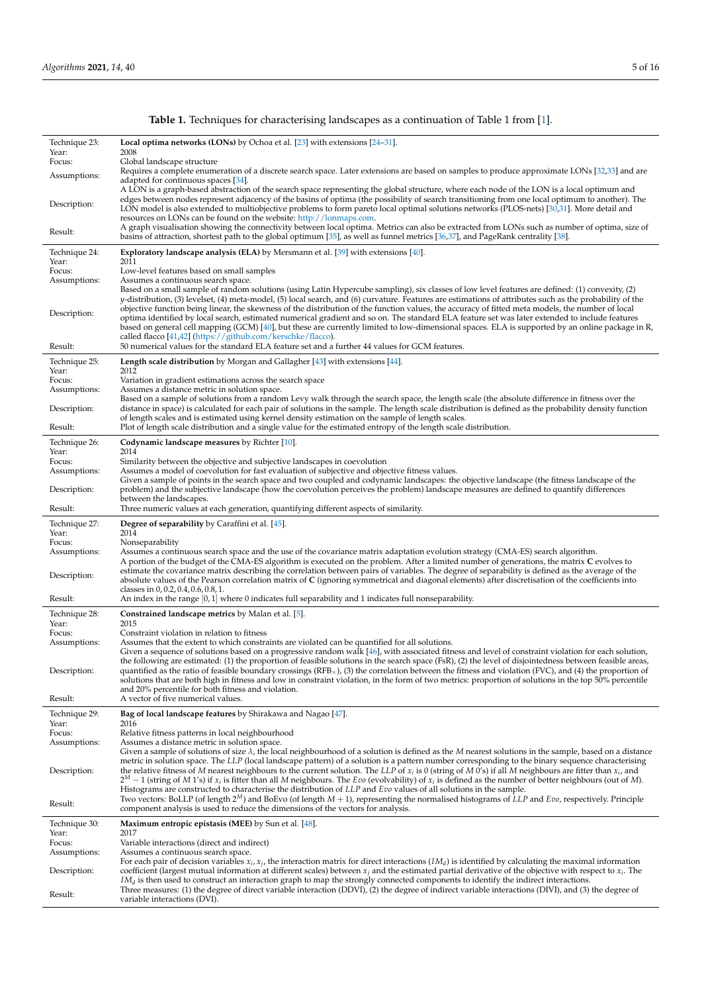<span id="page-4-0"></span>

| Technique 23:<br>Year:  | <b>Local optima networks (LONs)</b> by Ochoa et al. $[23]$ with extensions $[24-31]$ .<br>2008                                                                                                                                                                                                                                                                                                                                                                                                                                                                                                                                                                                                                                                                                                                                                                                                                                          |
|-------------------------|-----------------------------------------------------------------------------------------------------------------------------------------------------------------------------------------------------------------------------------------------------------------------------------------------------------------------------------------------------------------------------------------------------------------------------------------------------------------------------------------------------------------------------------------------------------------------------------------------------------------------------------------------------------------------------------------------------------------------------------------------------------------------------------------------------------------------------------------------------------------------------------------------------------------------------------------|
| Focus:                  | Global landscape structure                                                                                                                                                                                                                                                                                                                                                                                                                                                                                                                                                                                                                                                                                                                                                                                                                                                                                                              |
| Assumptions:            | Requires a complete enumeration of a discrete search space. Later extensions are based on samples to produce approximate LONs [32,33] and are<br>adapted for continuous spaces [34].<br>A LON is a graph-based abstraction of the search space representing the global structure, where each node of the LON is a local optimum and                                                                                                                                                                                                                                                                                                                                                                                                                                                                                                                                                                                                     |
| Description:            | edges between nodes represent adjacency of the basins of optima (the possibility of search transitioning from one local optimum to another). The<br>LON model is also extended to multiobjective problems to form pareto local optimal solutions networks (PLOS-nets) [30,31]. More detail and<br>resources on LONs can be found on the website: http://lonmaps.com.                                                                                                                                                                                                                                                                                                                                                                                                                                                                                                                                                                    |
| Result:                 | A graph visualisation showing the connectivity between local optima. Metrics can also be extracted from LONs such as number of optima, size of<br>basins of attraction, shortest path to the global optimum [35], as well as funnel metrics [36,37], and PageRank centrality [38].                                                                                                                                                                                                                                                                                                                                                                                                                                                                                                                                                                                                                                                      |
| Technique 24:<br>Year:  | <b>Exploratory landscape analysis (ELA)</b> by Mersmann et al. [39] with extensions [40].<br>2011                                                                                                                                                                                                                                                                                                                                                                                                                                                                                                                                                                                                                                                                                                                                                                                                                                       |
| Focus:<br>Assumptions:  | Low-level features based on small samples<br>Assumes a continuous search space.                                                                                                                                                                                                                                                                                                                                                                                                                                                                                                                                                                                                                                                                                                                                                                                                                                                         |
| Description:<br>Result: | Based on a small sample of random solutions (using Latin Hypercube sampling), six classes of low level features are defined: (1) convexity, (2)<br>y-distribution, (3) levelset, (4) meta-model, (5) local search, and (6) curvature. Features are estimations of attributes such as the probability of the<br>objective function being linear, the skewness of the distribution of the function values, the accuracy of fitted meta models, the number of local<br>optima identified by local search, estimated numerical gradient and so on. The standard ELA feature set was later extended to include features<br>based on general cell mapping (GCM) [40], but these are currently limited to low-dimensional spaces. ELA is supported by an online package in R,<br>called flacco [41,42] (https://github.com/kerschke/flacco).<br>50 numerical values for the standard ELA feature set and a further 44 values for GCM features. |
| Technique 25:           | <b>Length scale distribution</b> by Morgan and Gallagher $[43]$ with extensions $[44]$ .                                                                                                                                                                                                                                                                                                                                                                                                                                                                                                                                                                                                                                                                                                                                                                                                                                                |
| Year:<br>Focus:         | 2012                                                                                                                                                                                                                                                                                                                                                                                                                                                                                                                                                                                                                                                                                                                                                                                                                                                                                                                                    |
| Assumptions:            | Variation in gradient estimations across the search space<br>Assumes a distance metric in solution space.                                                                                                                                                                                                                                                                                                                                                                                                                                                                                                                                                                                                                                                                                                                                                                                                                               |
| Description:            | Based on a sample of solutions from a random Levy walk through the search space, the length scale (the absolute difference in fitness over the<br>distance in space) is calculated for each pair of solutions in the sample. The length scale distribution is defined as the probability density function<br>of length scales and is estimated using kernel density estimation on the sample of length scales.                                                                                                                                                                                                                                                                                                                                                                                                                                                                                                                          |
| Result:                 | Plot of length scale distribution and a single value for the estimated entropy of the length scale distribution.                                                                                                                                                                                                                                                                                                                                                                                                                                                                                                                                                                                                                                                                                                                                                                                                                        |
| Technique 26:<br>Year:  | Codynamic landscape measures by Richter [10].<br>2014                                                                                                                                                                                                                                                                                                                                                                                                                                                                                                                                                                                                                                                                                                                                                                                                                                                                                   |
| Focus:<br>Assumptions:  | Similarity between the objective and subjective landscapes in coevolution<br>Assumes a model of coevolution for fast evaluation of subjective and objective fitness values.                                                                                                                                                                                                                                                                                                                                                                                                                                                                                                                                                                                                                                                                                                                                                             |
| Description:            | Given a sample of points in the search space and two coupled and codynamic landscapes: the objective landscape (the fitness landscape of the<br>problem) and the subjective landscape (how the coevolution perceives the problem) landscape measures are defined to quantify differences<br>between the landscapes.                                                                                                                                                                                                                                                                                                                                                                                                                                                                                                                                                                                                                     |
| Result:                 | Three numeric values at each generation, quantifying different aspects of similarity.                                                                                                                                                                                                                                                                                                                                                                                                                                                                                                                                                                                                                                                                                                                                                                                                                                                   |
| Technique 27:<br>Year:  | <b>Degree of separability</b> by Caraffini et al. [45].<br>2014                                                                                                                                                                                                                                                                                                                                                                                                                                                                                                                                                                                                                                                                                                                                                                                                                                                                         |
| Focus:<br>Assumptions:  | Nonseparability<br>Assumes a continuous search space and the use of the covariance matrix adaptation evolution strategy (CMA-ES) search algorithm.                                                                                                                                                                                                                                                                                                                                                                                                                                                                                                                                                                                                                                                                                                                                                                                      |
| Description:            | A portion of the budget of the CMA-ES algorithm is executed on the problem. After a limited number of generations, the matrix C evolves to<br>estimate the covariance matrix describing the correlation between pairs of variables. The degree of separability is defined as the average of the<br>absolute values of the Pearson correlation matrix of $C$ (ignoring symmetrical and diagonal elements) after discretisation of the coefficients into                                                                                                                                                                                                                                                                                                                                                                                                                                                                                  |
| Result:                 | classes in 0, 0.2, 0.4, 0.6, 0.8, 1.<br>An index in the range $[0,1]$ where 0 indicates full separability and 1 indicates full nonseparability.                                                                                                                                                                                                                                                                                                                                                                                                                                                                                                                                                                                                                                                                                                                                                                                         |
| Technique 28:           | <b>Constrained landscape metrics by Malan et al. [5].</b>                                                                                                                                                                                                                                                                                                                                                                                                                                                                                                                                                                                                                                                                                                                                                                                                                                                                               |
| Year:<br>Focus:         | 2015<br>Constraint violation in relation to fitness                                                                                                                                                                                                                                                                                                                                                                                                                                                                                                                                                                                                                                                                                                                                                                                                                                                                                     |
| Assumptions:            | Assumes that the extent to which constraints are violated can be quantified for all solutions.<br>Given a sequence of solutions based on a progressive random walk [46], with associated fitness and level of constraint violation for each solution,<br>the following are estimated: (1) the proportion of feasible solutions in the search space (FsR), (2) the level of disjointedness between feasible areas,                                                                                                                                                                                                                                                                                                                                                                                                                                                                                                                       |
| Description:            | quantified as the ratio of feasible boundary crossings (RFB $_{\times}$ ), (3) the correlation between the fitness and violation (FVC), and (4) the proportion of<br>solutions that are both high in fitness and low in constraint violation, in the form of two metrics: proportion of solutions in the top 50% percentile<br>and 20% percentile for both fitness and violation.                                                                                                                                                                                                                                                                                                                                                                                                                                                                                                                                                       |
| Result:                 | A vector of five numerical values.                                                                                                                                                                                                                                                                                                                                                                                                                                                                                                                                                                                                                                                                                                                                                                                                                                                                                                      |
| Technique 29:<br>Year:  | <b>Bag of local landscape features</b> by Shirakawa and Nagao [47].<br>2016                                                                                                                                                                                                                                                                                                                                                                                                                                                                                                                                                                                                                                                                                                                                                                                                                                                             |
| Focus:                  | Relative fitness patterns in local neighbourhood                                                                                                                                                                                                                                                                                                                                                                                                                                                                                                                                                                                                                                                                                                                                                                                                                                                                                        |
| Assumptions:            | Assumes a distance metric in solution space.<br>Given a sample of solutions of size $\lambda$ , the local neighbourhood of a solution is defined as the M nearest solutions in the sample, based on a distance                                                                                                                                                                                                                                                                                                                                                                                                                                                                                                                                                                                                                                                                                                                          |
| Description:            | metric in solution space. The LLP (local landscape pattern) of a solution is a pattern number corresponding to the binary sequence characterising<br>the relative fitness of M nearest neighbours to the current solution. The LLP of $x_i$ is 0 (string of M 0's) if all M neighbours are fitter than $x_i$ , and<br>$2^M - 1$ (string of M 1's) if $x_i$ is fitter than all M neighbours. The Evo (evolvability) of $x_i$ is defined as the number of better neighbours (out of M).                                                                                                                                                                                                                                                                                                                                                                                                                                                   |
| Result:                 | Histograms are constructed to characterise the distribution of LLP and Evo values of all solutions in the sample.<br>Two vectors: BoLLP (of length $2^M$ ) and BoEvo (of length $M + 1$ ), representing the normalised histograms of LLP and Evo, respectively. Principle<br>component analysis is used to reduce the dimensions of the vectors for analysis.                                                                                                                                                                                                                                                                                                                                                                                                                                                                                                                                                                           |
| Technique 30:           | <b>Maximum entropic epistasis (MEE)</b> by Sun et al. [48].                                                                                                                                                                                                                                                                                                                                                                                                                                                                                                                                                                                                                                                                                                                                                                                                                                                                             |
| Year:<br>Focus:         | 2017<br>Variable interactions (direct and indirect)                                                                                                                                                                                                                                                                                                                                                                                                                                                                                                                                                                                                                                                                                                                                                                                                                                                                                     |
| Assumptions:            | Assumes a continuous search space.<br>For each pair of decision variables $x_i$ , $x_i$ , the interaction matrix for direct interactions (IM <sub>d</sub> ) is identified by calculating the maximal information                                                                                                                                                                                                                                                                                                                                                                                                                                                                                                                                                                                                                                                                                                                        |
| Description:            | coefficient (largest mutual information at different scales) between $x_i$ and the estimated partial derivative of the objective with respect to $x_i$ . The<br>$IM_d$ is then used to construct an interaction graph to map the strongly connected components to identify the indirect interactions.                                                                                                                                                                                                                                                                                                                                                                                                                                                                                                                                                                                                                                   |
| Result:                 | Three measures: (1) the degree of direct variable interaction (DDVI), (2) the degree of indirect variable interactions (DIVI), and (3) the degree of<br>variable interactions (DVI).                                                                                                                                                                                                                                                                                                                                                                                                                                                                                                                                                                                                                                                                                                                                                    |

# **Table 1.** Techniques for characterising landscapes as a continuation of Table 1 from [\[1\]](#page-10-0).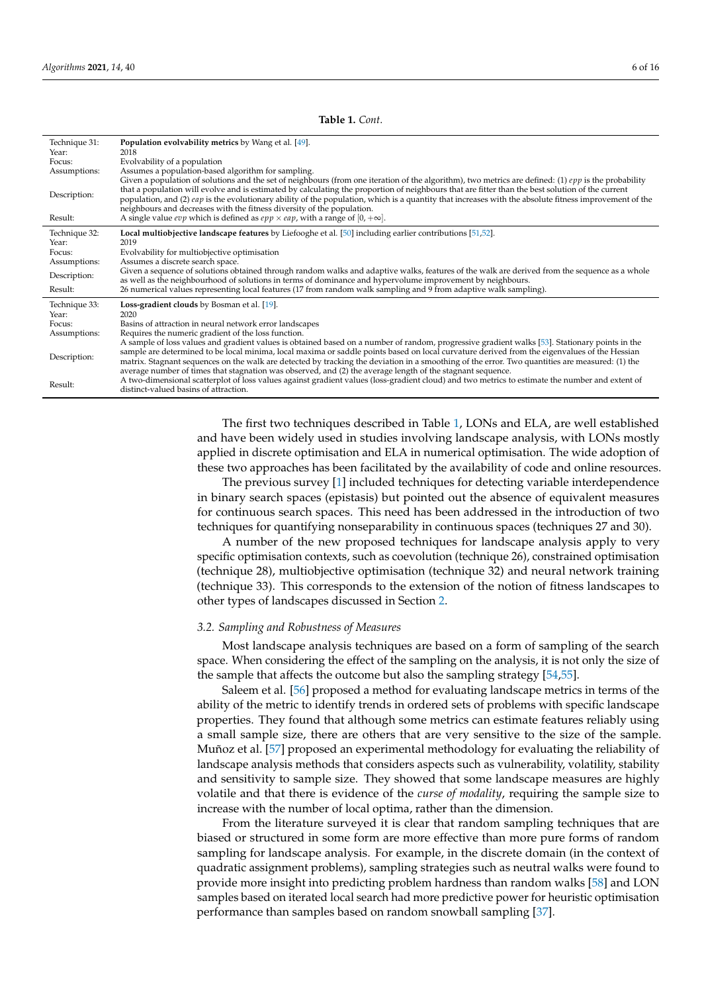Technique 31: **Population evolvability metrics** by Wang et al. [\[49\]](#page-11-19). Year: 2018<br>Focus: Evol Focus: Evolvability of a population<br>Assumptions: Assumes a population-based Assumptions: Assumes a population-based algorithm for sampling. Given a population of solutions and the set of neighbours (from one iteration of the algorithm), two metrics are defined: (1) *epp* is the probability Description: that a population will evolve and is estimated by calculating the proportion of neighbours that are fitter than the best solution of the current population, and (2) *eap* is the evolutionary ability of the population, which is a quantity that increases with the absolute fitness improvement of the neighbours and decreases with the fitness diversity of the population. Result: A single value *evp* which is defined as  $epp \times cap$ , with a range of  $[0, +\infty]$ . Technique 32: **Local multiobjective landscape features** by Liefooghe et al. [\[50\]](#page-11-20) including earlier contributions [\[51](#page-11-21)[,52\]](#page-11-22). Year: 2019<br>Focus: Evol Focus: Evolvability for multiobjective optimisation<br>Assumptions: Assumes a discrete search space. Assumes a discrete search space. Description: Given a sequence of solutions obtained through random walks and adaptive walks, features of the walk are derived from the sequence as a whole as well as the neighbourhood of solutions in terms of dominance and hypervolume improvement by neighbours. Result: 26 numerical values representing local features (17 from random walk sampling and 9 from adaptive walk sampling). Technique 33: **Loss-gradient clouds** by Bosman et al. [\[19\]](#page-10-16). Year:<br>Focus Focus: Basins of attraction in neural network error landscapes<br>Assumptions: Requires the numeric gradient of the loss function. Requires the numeric gradient of the loss function. Description: A sample of loss values and gradient values is obtained based on a number of random, progressive gradient walks [\[53\]](#page-12-0). Stationary points in the sample are determined to be local minima, local maxima or saddle points based on local curvature derived from the eigenvalues of the Hessian matrix. Stagnant sequences on the walk are detected by tracking the deviation in a smoothing of the error. Two quantities are measured: (1) the average number of times that stagnation was observed, and (2) the average length of the stagnant sequence. Result: A two-dimensional scatterplot of loss values against gradient values (loss-gradient cloud) and two metrics to estimate the number and extent of distinct-valued basins of attraction.

> The first two techniques described in Table [1,](#page-4-0) LONs and ELA, are well established and have been widely used in studies involving landscape analysis, with LONs mostly applied in discrete optimisation and ELA in numerical optimisation. The wide adoption of these two approaches has been facilitated by the availability of code and online resources.

> The previous survey [\[1\]](#page-10-0) included techniques for detecting variable interdependence in binary search spaces (epistasis) but pointed out the absence of equivalent measures for continuous search spaces. This need has been addressed in the introduction of two techniques for quantifying nonseparability in continuous spaces (techniques 27 and 30).

> A number of the new proposed techniques for landscape analysis apply to very specific optimisation contexts, such as coevolution (technique 26), constrained optimisation (technique 28), multiobjective optimisation (technique 32) and neural network training (technique 33). This corresponds to the extension of the notion of fitness landscapes to other types of landscapes discussed in Section [2.](#page-1-0)

#### *3.2. Sampling and Robustness of Measures*

Most landscape analysis techniques are based on a form of sampling of the search space. When considering the effect of the sampling on the analysis, it is not only the size of the sample that affects the outcome but also the sampling strategy [\[54](#page-12-1)[,55\]](#page-12-2).

Saleem et al. [\[56\]](#page-12-3) proposed a method for evaluating landscape metrics in terms of the ability of the metric to identify trends in ordered sets of problems with specific landscape properties. They found that although some metrics can estimate features reliably using a small sample size, there are others that are very sensitive to the size of the sample. Muñoz et al. [\[57\]](#page-12-4) proposed an experimental methodology for evaluating the reliability of landscape analysis methods that considers aspects such as vulnerability, volatility, stability and sensitivity to sample size. They showed that some landscape measures are highly volatile and that there is evidence of the *curse of modality*, requiring the sample size to increase with the number of local optima, rather than the dimension.

From the literature surveyed it is clear that random sampling techniques that are biased or structured in some form are more effective than more pure forms of random sampling for landscape analysis. For example, in the discrete domain (in the context of quadratic assignment problems), sampling strategies such as neutral walks were found to provide more insight into predicting problem hardness than random walks [\[58\]](#page-12-5) and LON samples based on iterated local search had more predictive power for heuristic optimisation performance than samples based on random snowball sampling [\[37\]](#page-11-7).

**Table 1.** *Cont*.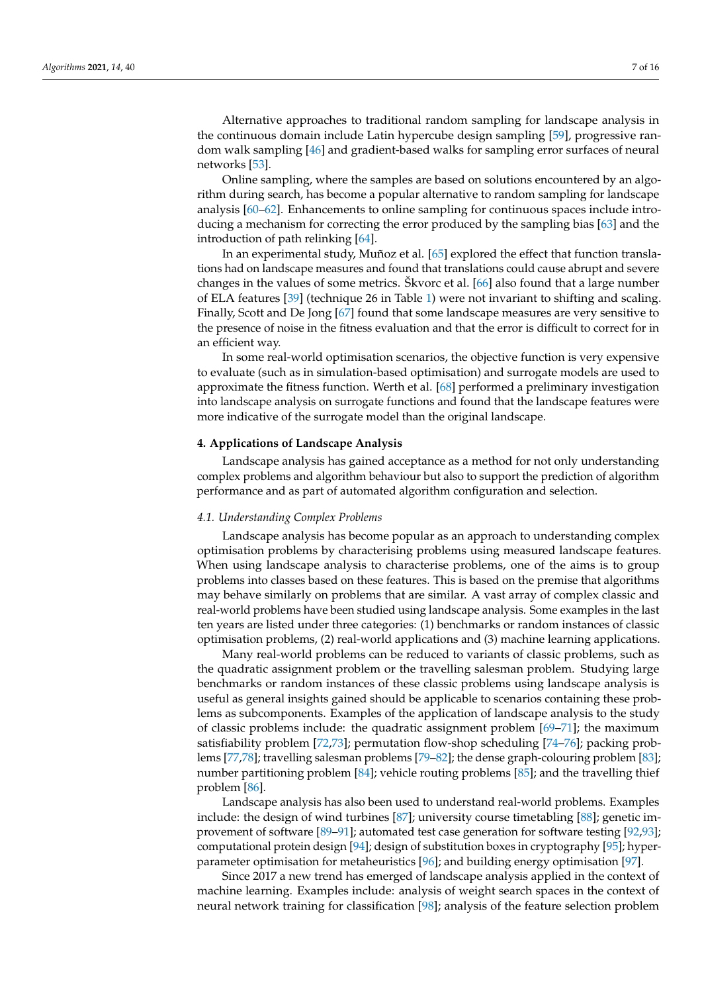Alternative approaches to traditional random sampling for landscape analysis in the continuous domain include Latin hypercube design sampling [\[59\]](#page-12-6), progressive random walk sampling [\[46\]](#page-11-16) and gradient-based walks for sampling error surfaces of neural networks [\[53\]](#page-12-0).

Online sampling, where the samples are based on solutions encountered by an algorithm during search, has become a popular alternative to random sampling for landscape analysis [\[60–](#page-12-7)[62\]](#page-12-8). Enhancements to online sampling for continuous spaces include introducing a mechanism for correcting the error produced by the sampling bias [\[63\]](#page-12-9) and the introduction of path relinking [\[64\]](#page-12-10).

In an experimental study, Muñoz et al. [\[65\]](#page-12-11) explored the effect that function translations had on landscape measures and found that translations could cause abrupt and severe changes in the values of some metrics. Škvorc et al. [\[66\]](#page-12-12) also found that a large number of ELA features [\[39\]](#page-11-9) (technique 26 in Table [1\)](#page-4-0) were not invariant to shifting and scaling. Finally, Scott and De Jong [\[67\]](#page-12-13) found that some landscape measures are very sensitive to the presence of noise in the fitness evaluation and that the error is difficult to correct for in an efficient way.

In some real-world optimisation scenarios, the objective function is very expensive to evaluate (such as in simulation-based optimisation) and surrogate models are used to approximate the fitness function. Werth et al. [\[68\]](#page-12-14) performed a preliminary investigation into landscape analysis on surrogate functions and found that the landscape features were more indicative of the surrogate model than the original landscape.

# <span id="page-6-0"></span>**4. Applications of Landscape Analysis**

Landscape analysis has gained acceptance as a method for not only understanding complex problems and algorithm behaviour but also to support the prediction of algorithm performance and as part of automated algorithm configuration and selection.

#### *4.1. Understanding Complex Problems*

Landscape analysis has become popular as an approach to understanding complex optimisation problems by characterising problems using measured landscape features. When using landscape analysis to characterise problems, one of the aims is to group problems into classes based on these features. This is based on the premise that algorithms may behave similarly on problems that are similar. A vast array of complex classic and real-world problems have been studied using landscape analysis. Some examples in the last ten years are listed under three categories: (1) benchmarks or random instances of classic optimisation problems, (2) real-world applications and (3) machine learning applications.

Many real-world problems can be reduced to variants of classic problems, such as the quadratic assignment problem or the travelling salesman problem. Studying large benchmarks or random instances of these classic problems using landscape analysis is useful as general insights gained should be applicable to scenarios containing these problems as subcomponents. Examples of the application of landscape analysis to the study of classic problems include: the quadratic assignment problem [\[69–](#page-12-15)[71\]](#page-12-16); the maximum satisfiability problem [\[72,](#page-12-17)[73\]](#page-12-18); permutation flow-shop scheduling [\[74–](#page-12-19)[76\]](#page-12-20); packing problems [\[77](#page-12-21)[,78\]](#page-13-0); travelling salesman problems [\[79–](#page-13-1)[82\]](#page-13-2); the dense graph-colouring problem [\[83\]](#page-13-3); number partitioning problem [\[84\]](#page-13-4); vehicle routing problems [\[85\]](#page-13-5); and the travelling thief problem [\[86\]](#page-13-6).

Landscape analysis has also been used to understand real-world problems. Examples include: the design of wind turbines [\[87\]](#page-13-7); university course timetabling [\[88\]](#page-13-8); genetic improvement of software [\[89–](#page-13-9)[91\]](#page-13-10); automated test case generation for software testing [\[92](#page-13-11)[,93\]](#page-13-12); computational protein design [\[94\]](#page-13-13); design of substitution boxes in cryptography [\[95\]](#page-13-14); hyperparameter optimisation for metaheuristics [\[96\]](#page-13-15); and building energy optimisation [\[97\]](#page-13-16).

Since 2017 a new trend has emerged of landscape analysis applied in the context of machine learning. Examples include: analysis of weight search spaces in the context of neural network training for classification [\[98\]](#page-13-17); analysis of the feature selection problem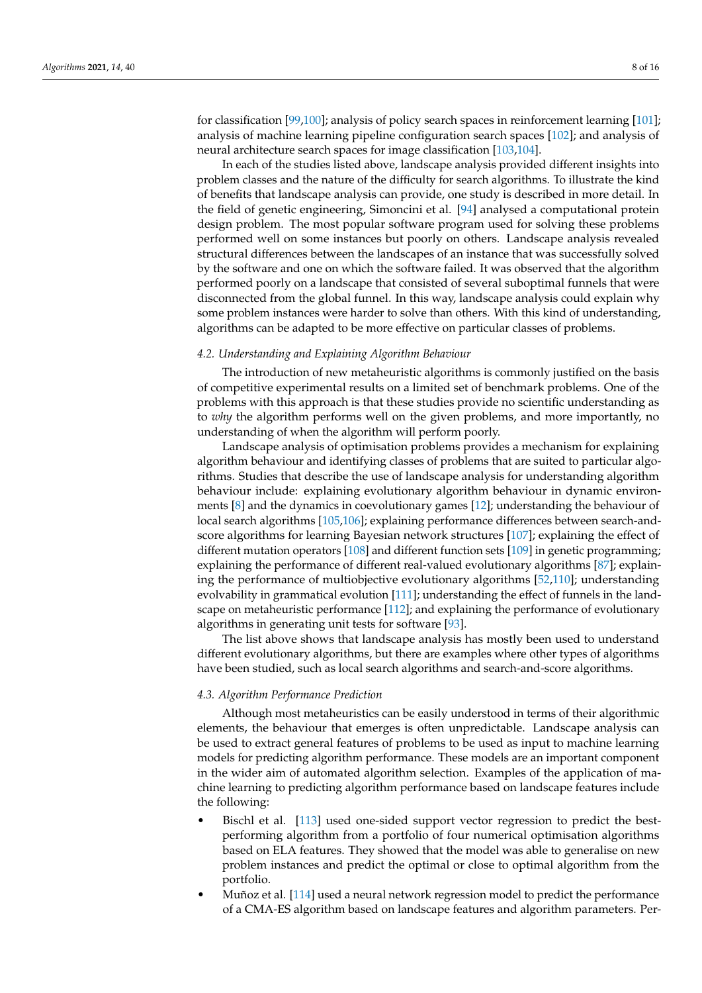for classification [\[99](#page-13-18)[,100\]](#page-13-19); analysis of policy search spaces in reinforcement learning [\[101\]](#page-14-0); analysis of machine learning pipeline configuration search spaces [\[102\]](#page-14-1); and analysis of neural architecture search spaces for image classification [\[103,](#page-14-2)[104\]](#page-14-3).

In each of the studies listed above, landscape analysis provided different insights into problem classes and the nature of the difficulty for search algorithms. To illustrate the kind of benefits that landscape analysis can provide, one study is described in more detail. In the field of genetic engineering, Simoncini et al. [\[94\]](#page-13-13) analysed a computational protein design problem. The most popular software program used for solving these problems performed well on some instances but poorly on others. Landscape analysis revealed structural differences between the landscapes of an instance that was successfully solved by the software and one on which the software failed. It was observed that the algorithm performed poorly on a landscape that consisted of several suboptimal funnels that were disconnected from the global funnel. In this way, landscape analysis could explain why some problem instances were harder to solve than others. With this kind of understanding, algorithms can be adapted to be more effective on particular classes of problems.

# *4.2. Understanding and Explaining Algorithm Behaviour*

The introduction of new metaheuristic algorithms is commonly justified on the basis of competitive experimental results on a limited set of benchmark problems. One of the problems with this approach is that these studies provide no scientific understanding as to *why* the algorithm performs well on the given problems, and more importantly, no understanding of when the algorithm will perform poorly.

Landscape analysis of optimisation problems provides a mechanism for explaining algorithm behaviour and identifying classes of problems that are suited to particular algorithms. Studies that describe the use of landscape analysis for understanding algorithm behaviour include: explaining evolutionary algorithm behaviour in dynamic environments [\[8\]](#page-10-7) and the dynamics in coevolutionary games [\[12\]](#page-10-11); understanding the behaviour of local search algorithms [\[105](#page-14-4)[,106\]](#page-14-5); explaining performance differences between search-andscore algorithms for learning Bayesian network structures [\[107\]](#page-14-6); explaining the effect of different mutation operators [\[108\]](#page-14-7) and different function sets [\[109\]](#page-14-8) in genetic programming; explaining the performance of different real-valued evolutionary algorithms [\[87\]](#page-13-7); explaining the performance of multiobjective evolutionary algorithms [\[52](#page-11-22)[,110\]](#page-14-9); understanding evolvability in grammatical evolution [\[111\]](#page-14-10); understanding the effect of funnels in the landscape on metaheuristic performance [\[112\]](#page-14-11); and explaining the performance of evolutionary algorithms in generating unit tests for software [\[93\]](#page-13-12).

The list above shows that landscape analysis has mostly been used to understand different evolutionary algorithms, but there are examples where other types of algorithms have been studied, such as local search algorithms and search-and-score algorithms.

# *4.3. Algorithm Performance Prediction*

Although most metaheuristics can be easily understood in terms of their algorithmic elements, the behaviour that emerges is often unpredictable. Landscape analysis can be used to extract general features of problems to be used as input to machine learning models for predicting algorithm performance. These models are an important component in the wider aim of automated algorithm selection. Examples of the application of machine learning to predicting algorithm performance based on landscape features include the following:

- Bischl et al. [\[113\]](#page-14-12) used one-sided support vector regression to predict the bestperforming algorithm from a portfolio of four numerical optimisation algorithms based on ELA features. They showed that the model was able to generalise on new problem instances and predict the optimal or close to optimal algorithm from the portfolio.
- Muñoz et al. [\[114\]](#page-14-13) used a neural network regression model to predict the performance of a CMA-ES algorithm based on landscape features and algorithm parameters. Per-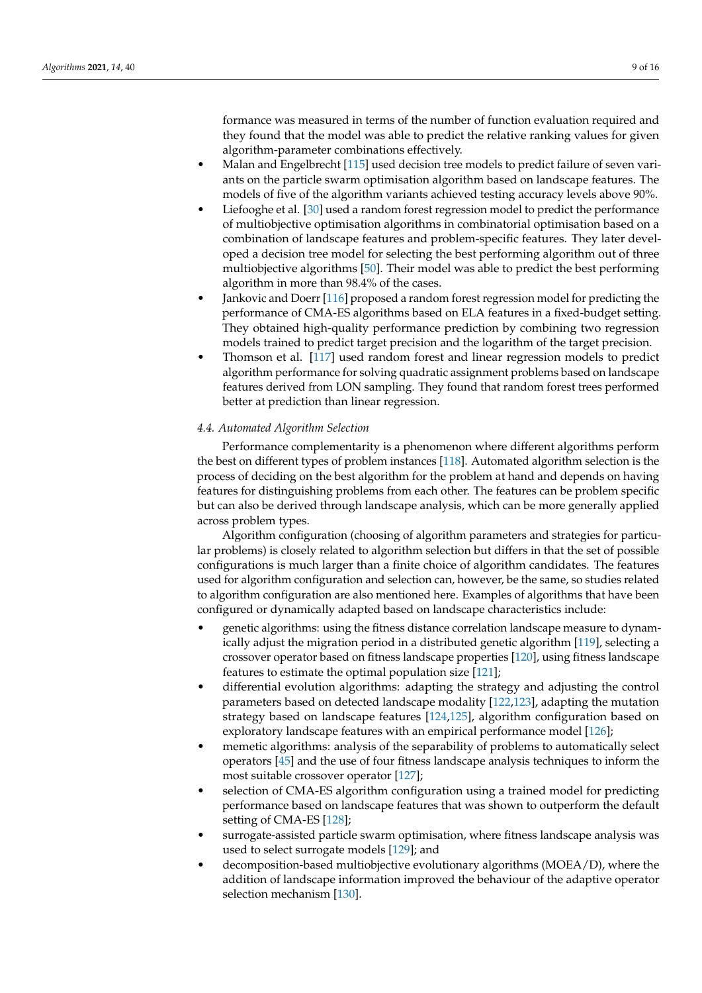formance was measured in terms of the number of function evaluation required and they found that the model was able to predict the relative ranking values for given algorithm-parameter combinations effectively.

- Malan and Engelbrecht [\[115\]](#page-14-14) used decision tree models to predict failure of seven variants on the particle swarm optimisation algorithm based on landscape features. The models of five of the algorithm variants achieved testing accuracy levels above 90%.
- Liefooghe et al. [\[30\]](#page-11-4) used a random forest regression model to predict the performance of multiobjective optimisation algorithms in combinatorial optimisation based on a combination of landscape features and problem-specific features. They later developed a decision tree model for selecting the best performing algorithm out of three multiobjective algorithms [\[50\]](#page-11-20). Their model was able to predict the best performing algorithm in more than 98.4% of the cases.
- Jankovic and Doerr [\[116\]](#page-14-15) proposed a random forest regression model for predicting the performance of CMA-ES algorithms based on ELA features in a fixed-budget setting. They obtained high-quality performance prediction by combining two regression models trained to predict target precision and the logarithm of the target precision.
- Thomson et al. [\[117\]](#page-14-16) used random forest and linear regression models to predict algorithm performance for solving quadratic assignment problems based on landscape features derived from LON sampling. They found that random forest trees performed better at prediction than linear regression.

# *4.4. Automated Algorithm Selection*

Performance complementarity is a phenomenon where different algorithms perform the best on different types of problem instances [\[118\]](#page-14-17). Automated algorithm selection is the process of deciding on the best algorithm for the problem at hand and depends on having features for distinguishing problems from each other. The features can be problem specific but can also be derived through landscape analysis, which can be more generally applied across problem types.

Algorithm configuration (choosing of algorithm parameters and strategies for particular problems) is closely related to algorithm selection but differs in that the set of possible configurations is much larger than a finite choice of algorithm candidates. The features used for algorithm configuration and selection can, however, be the same, so studies related to algorithm configuration are also mentioned here. Examples of algorithms that have been configured or dynamically adapted based on landscape characteristics include:

- genetic algorithms: using the fitness distance correlation landscape measure to dynamically adjust the migration period in a distributed genetic algorithm [\[119\]](#page-14-18), selecting a crossover operator based on fitness landscape properties [\[120\]](#page-14-19), using fitness landscape features to estimate the optimal population size [\[121\]](#page-14-20);
- differential evolution algorithms: adapting the strategy and adjusting the control parameters based on detected landscape modality [\[122,](#page-14-21)[123\]](#page-14-22), adapting the mutation strategy based on landscape features [\[124,](#page-14-23)[125\]](#page-14-24), algorithm configuration based on exploratory landscape features with an empirical performance model [\[126\]](#page-15-0);
- memetic algorithms: analysis of the separability of problems to automatically select operators [\[45\]](#page-11-15) and the use of four fitness landscape analysis techniques to inform the most suitable crossover operator [\[127\]](#page-15-1);
- selection of CMA-ES algorithm configuration using a trained model for predicting performance based on landscape features that was shown to outperform the default setting of CMA-ES [\[128\]](#page-15-2);
- surrogate-assisted particle swarm optimisation, where fitness landscape analysis was used to select surrogate models [\[129\]](#page-15-3); and
- decomposition-based multiobjective evolutionary algorithms (MOEA/D), where the addition of landscape information improved the behaviour of the adaptive operator selection mechanism [\[130\]](#page-15-4).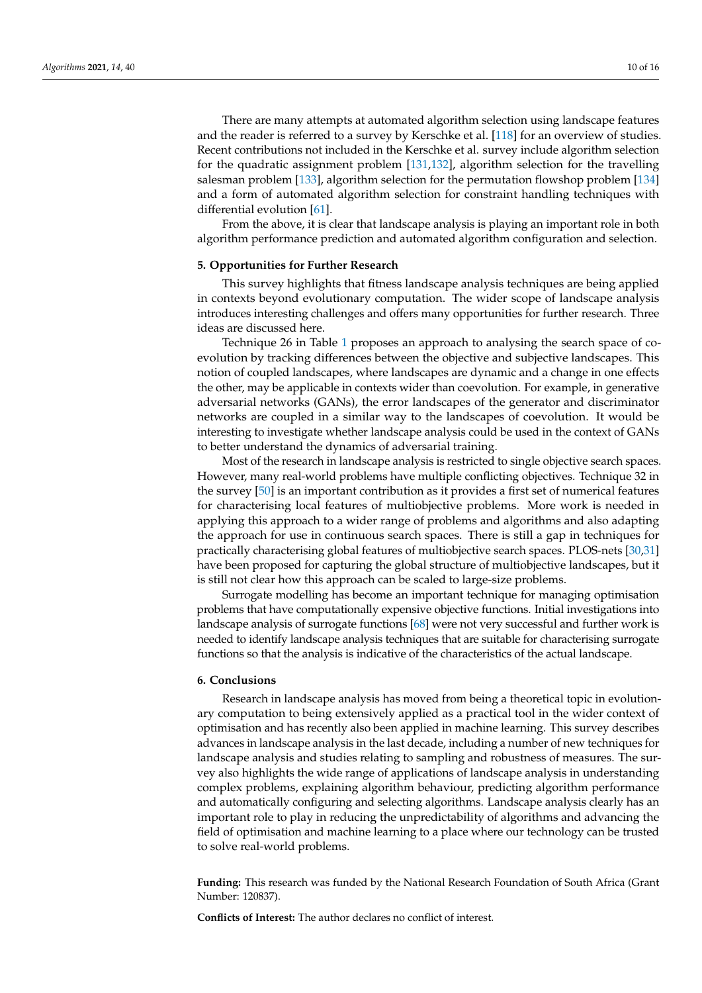There are many attempts at automated algorithm selection using landscape features and the reader is referred to a survey by Kerschke et al. [\[118\]](#page-14-17) for an overview of studies. Recent contributions not included in the Kerschke et al. survey include algorithm selection for the quadratic assignment problem [\[131,](#page-15-5)[132\]](#page-15-6), algorithm selection for the travelling salesman problem [\[133\]](#page-15-7), algorithm selection for the permutation flowshop problem [\[134\]](#page-15-8) and a form of automated algorithm selection for constraint handling techniques with differential evolution [\[61\]](#page-12-22).

From the above, it is clear that landscape analysis is playing an important role in both algorithm performance prediction and automated algorithm configuration and selection.

# <span id="page-9-0"></span>**5. Opportunities for Further Research**

This survey highlights that fitness landscape analysis techniques are being applied in contexts beyond evolutionary computation. The wider scope of landscape analysis introduces interesting challenges and offers many opportunities for further research. Three ideas are discussed here.

Technique 26 in Table [1](#page-4-0) proposes an approach to analysing the search space of coevolution by tracking differences between the objective and subjective landscapes. This notion of coupled landscapes, where landscapes are dynamic and a change in one effects the other, may be applicable in contexts wider than coevolution. For example, in generative adversarial networks (GANs), the error landscapes of the generator and discriminator networks are coupled in a similar way to the landscapes of coevolution. It would be interesting to investigate whether landscape analysis could be used in the context of GANs to better understand the dynamics of adversarial training.

Most of the research in landscape analysis is restricted to single objective search spaces. However, many real-world problems have multiple conflicting objectives. Technique 32 in the survey [\[50\]](#page-11-20) is an important contribution as it provides a first set of numerical features for characterising local features of multiobjective problems. More work is needed in applying this approach to a wider range of problems and algorithms and also adapting the approach for use in continuous search spaces. There is still a gap in techniques for practically characterising global features of multiobjective search spaces. PLOS-nets [\[30,](#page-11-4)[31\]](#page-11-0) have been proposed for capturing the global structure of multiobjective landscapes, but it is still not clear how this approach can be scaled to large-size problems.

Surrogate modelling has become an important technique for managing optimisation problems that have computationally expensive objective functions. Initial investigations into landscape analysis of surrogate functions [\[68\]](#page-12-14) were not very successful and further work is needed to identify landscape analysis techniques that are suitable for characterising surrogate functions so that the analysis is indicative of the characteristics of the actual landscape.

#### **6. Conclusions**

Research in landscape analysis has moved from being a theoretical topic in evolutionary computation to being extensively applied as a practical tool in the wider context of optimisation and has recently also been applied in machine learning. This survey describes advances in landscape analysis in the last decade, including a number of new techniques for landscape analysis and studies relating to sampling and robustness of measures. The survey also highlights the wide range of applications of landscape analysis in understanding complex problems, explaining algorithm behaviour, predicting algorithm performance and automatically configuring and selecting algorithms. Landscape analysis clearly has an important role to play in reducing the unpredictability of algorithms and advancing the field of optimisation and machine learning to a place where our technology can be trusted to solve real-world problems.

**Funding:** This research was funded by the National Research Foundation of South Africa (Grant Number: 120837).

**Conflicts of Interest:** The author declares no conflict of interest.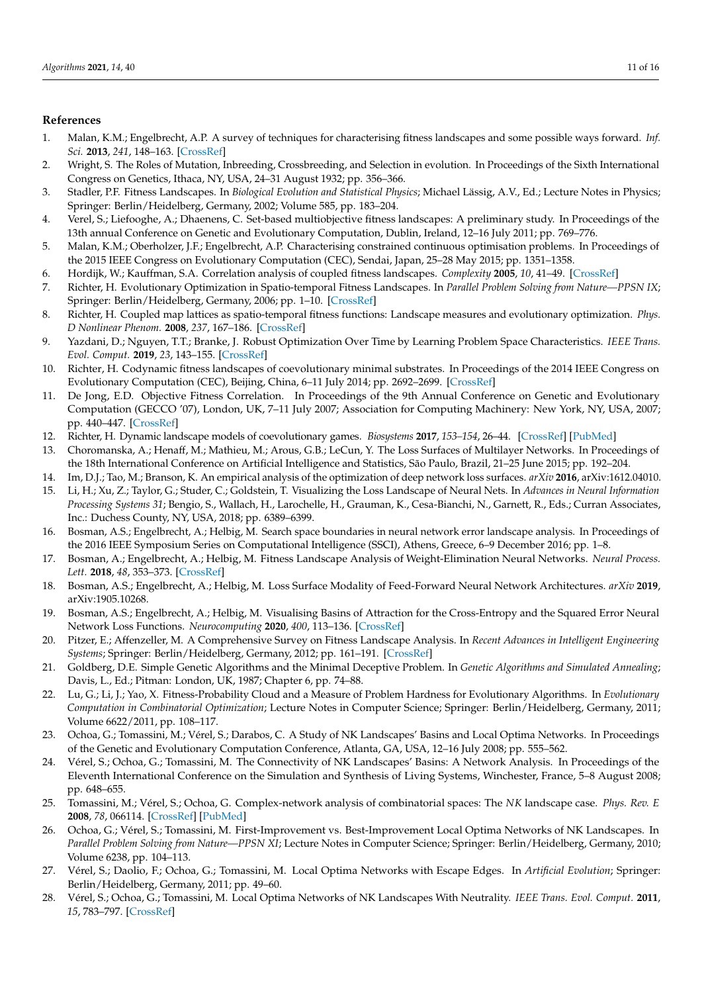# **References**

- <span id="page-10-0"></span>1. Malan, K.M.; Engelbrecht, A.P. A survey of techniques for characterising fitness landscapes and some possible ways forward. *Inf. Sci.* **2013**, *241*, 148–163. [\[CrossRef\]](http://doi.org/10.1016/j.ins.2013.04.015)
- <span id="page-10-1"></span>2. Wright, S. The Roles of Mutation, Inbreeding, Crossbreeding, and Selection in evolution. In Proceedings of the Sixth International Congress on Genetics, Ithaca, NY, USA, 24–31 August 1932; pp. 356–366.
- <span id="page-10-2"></span>3. Stadler, P.F. Fitness Landscapes. In *Biological Evolution and Statistical Physics*; Michael Lässig, A.V., Ed.; Lecture Notes in Physics; Springer: Berlin/Heidelberg, Germany, 2002; Volume 585, pp. 183–204.
- <span id="page-10-3"></span>4. Verel, S.; Liefooghe, A.; Dhaenens, C. Set-based multiobjective fitness landscapes: A preliminary study. In Proceedings of the 13th annual Conference on Genetic and Evolutionary Computation, Dublin, Ireland, 12–16 July 2011; pp. 769–776.
- <span id="page-10-4"></span>5. Malan, K.M.; Oberholzer, J.F.; Engelbrecht, A.P. Characterising constrained continuous optimisation problems. In Proceedings of the 2015 IEEE Congress on Evolutionary Computation (CEC), Sendai, Japan, 25–28 May 2015; pp. 1351–1358.
- <span id="page-10-5"></span>6. Hordijk, W.; Kauffman, S.A. Correlation analysis of coupled fitness landscapes. *Complexity* **2005**, *10*, 41–49. [\[CrossRef\]](http://dx.doi.org/10.1002/cplx.20092)
- <span id="page-10-6"></span>7. Richter, H. Evolutionary Optimization in Spatio-temporal Fitness Landscapes. In *Parallel Problem Solving from Nature—PPSN IX*; Springer: Berlin/Heidelberg, Germany, 2006; pp. 1–10. [\[CrossRef\]](http://dx.doi.org/10.1007/11844297_1)
- <span id="page-10-7"></span>8. Richter, H. Coupled map lattices as spatio-temporal fitness functions: Landscape measures and evolutionary optimization. *Phys. D Nonlinear Phenom.* **2008**, *237*, 167–186. [\[CrossRef\]](http://dx.doi.org/10.1016/j.physd.2007.08.016)
- <span id="page-10-8"></span>9. Yazdani, D.; Nguyen, T.T.; Branke, J. Robust Optimization Over Time by Learning Problem Space Characteristics. *IEEE Trans. Evol. Comput.* **2019**, *23*, 143–155. [\[CrossRef\]](http://dx.doi.org/10.1109/TEVC.2018.2843566)
- <span id="page-10-9"></span>10. Richter, H. Codynamic fitness landscapes of coevolutionary minimal substrates. In Proceedings of the 2014 IEEE Congress on Evolutionary Computation (CEC), Beijing, China, 6–11 July 2014; pp. 2692–2699. [\[CrossRef\]](http://dx.doi.org/10.1109/CEC.2014.6900272)
- <span id="page-10-10"></span>11. De Jong, E.D. Objective Fitness Correlation. In Proceedings of the 9th Annual Conference on Genetic and Evolutionary Computation (GECCO '07), London, UK, 7–11 July 2007; Association for Computing Machinery: New York, NY, USA, 2007; pp. 440–447. [\[CrossRef\]](http://dx.doi.org/10.1145/1276958.1277055)
- <span id="page-10-11"></span>12. Richter, H. Dynamic landscape models of coevolutionary games. *Biosystems* **2017**, *153–154*, 26–44. [\[CrossRef\]](http://dx.doi.org/10.1016/j.biosystems.2017.02.002) [\[PubMed\]](http://www.ncbi.nlm.nih.gov/pubmed/28238940)
- <span id="page-10-12"></span>13. Choromanska, A.; Henaff, M.; Mathieu, M.; Arous, G.B.; LeCun, Y. The Loss Surfaces of Multilayer Networks. In Proceedings of the 18th International Conference on Artificial Intelligence and Statistics, São Paulo, Brazil, 21–25 June 2015; pp. 192–204.
- <span id="page-10-13"></span>14. Im, D.J.; Tao, M.; Branson, K. An empirical analysis of the optimization of deep network loss surfaces. *arXiv* **2016**, arXiv:1612.04010.
- <span id="page-10-14"></span>15. Li, H.; Xu, Z.; Taylor, G.; Studer, C.; Goldstein, T. Visualizing the Loss Landscape of Neural Nets. In *Advances in Neural Information Processing Systems 31*; Bengio, S., Wallach, H., Larochelle, H., Grauman, K., Cesa-Bianchi, N., Garnett, R., Eds.; Curran Associates, Inc.: Duchess County, NY, USA, 2018; pp. 6389–6399.
- <span id="page-10-15"></span>16. Bosman, A.S.; Engelbrecht, A.; Helbig, M. Search space boundaries in neural network error landscape analysis. In Proceedings of the 2016 IEEE Symposium Series on Computational Intelligence (SSCI), Athens, Greece, 6–9 December 2016; pp. 1–8.
- <span id="page-10-17"></span>17. Bosman, A.; Engelbrecht, A.; Helbig, M. Fitness Landscape Analysis of Weight-Elimination Neural Networks. *Neural Process. Lett.* **2018**, *48*, 353–373. [\[CrossRef\]](http://dx.doi.org/10.1007/s11063-017-9729-9)
- <span id="page-10-18"></span>18. Bosman, A.S.; Engelbrecht, A.; Helbig, M. Loss Surface Modality of Feed-Forward Neural Network Architectures. *arXiv* **2019**, arXiv:1905.10268.
- <span id="page-10-16"></span>19. Bosman, A.S.; Engelbrecht, A.; Helbig, M. Visualising Basins of Attraction for the Cross-Entropy and the Squared Error Neural Network Loss Functions. *Neurocomputing* **2020**, *400*, 113–136. [\[CrossRef\]](http://dx.doi.org/10.1016/j.neucom.2020.02.113)
- <span id="page-10-19"></span>20. Pitzer, E.; Affenzeller, M. A Comprehensive Survey on Fitness Landscape Analysis. In *Recent Advances in Intelligent Engineering Systems*; Springer: Berlin/Heidelberg, Germany, 2012; pp. 161–191. [\[CrossRef\]](http://dx.doi.org/10.1007/978-3-642-23229-9_8)
- <span id="page-10-20"></span>21. Goldberg, D.E. Simple Genetic Algorithms and the Minimal Deceptive Problem. In *Genetic Algorithms and Simulated Annealing*; Davis, L., Ed.; Pitman: London, UK, 1987; Chapter 6, pp. 74–88.
- <span id="page-10-21"></span>22. Lu, G.; Li, J.; Yao, X. Fitness-Probability Cloud and a Measure of Problem Hardness for Evolutionary Algorithms. In *Evolutionary Computation in Combinatorial Optimization*; Lecture Notes in Computer Science; Springer: Berlin/Heidelberg, Germany, 2011; Volume 6622/2011, pp. 108–117.
- <span id="page-10-22"></span>23. Ochoa, G.; Tomassini, M.; Vérel, S.; Darabos, C. A Study of NK Landscapes' Basins and Local Optima Networks. In Proceedings of the Genetic and Evolutionary Computation Conference, Atlanta, GA, USA, 12–16 July 2008; pp. 555–562.
- <span id="page-10-23"></span>24. Vérel, S.; Ochoa, G.; Tomassini, M. The Connectivity of NK Landscapes' Basins: A Network Analysis. In Proceedings of the Eleventh International Conference on the Simulation and Synthesis of Living Systems, Winchester, France, 5–8 August 2008; pp. 648–655.
- 25. Tomassini, M.; Vérel, S.; Ochoa, G. Complex-network analysis of combinatorial spaces: The *NK* landscape case. *Phys. Rev. E* **2008**, *78*, 066114. [\[CrossRef\]](http://dx.doi.org/10.1103/PhysRevE.78.066114) [\[PubMed\]](http://www.ncbi.nlm.nih.gov/pubmed/19256912)
- 26. Ochoa, G.; Vérel, S.; Tomassini, M. First-Improvement vs. Best-Improvement Local Optima Networks of NK Landscapes. In *Parallel Problem Solving from Nature—PPSN XI*; Lecture Notes in Computer Science; Springer: Berlin/Heidelberg, Germany, 2010; Volume 6238, pp. 104–113.
- 27. Vérel, S.; Daolio, F.; Ochoa, G.; Tomassini, M. Local Optima Networks with Escape Edges. In *Artificial Evolution*; Springer: Berlin/Heidelberg, Germany, 2011; pp. 49–60.
- 28. Vérel, S.; Ochoa, G.; Tomassini, M. Local Optima Networks of NK Landscapes With Neutrality. *IEEE Trans. Evol. Comput.* **2011**, *15*, 783–797. [\[CrossRef\]](http://dx.doi.org/10.1109/TEVC.2010.2046175)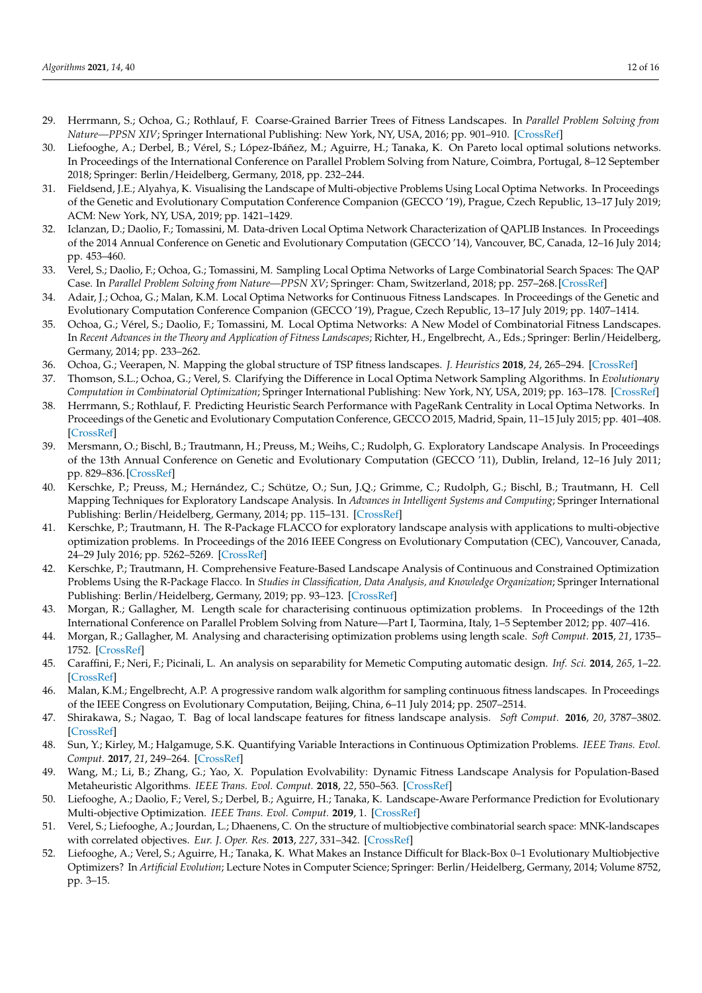- 29. Herrmann, S.; Ochoa, G.; Rothlauf, F. Coarse-Grained Barrier Trees of Fitness Landscapes. In *Parallel Problem Solving from Nature—PPSN XIV*; Springer International Publishing: New York, NY, USA, 2016; pp. 901–910. [\[CrossRef\]](http://dx.doi.org/10.1007/978-3-319-45823-6_84)
- <span id="page-11-4"></span>30. Liefooghe, A.; Derbel, B.; Vérel, S.; López-Ibáñez, M.; Aguirre, H.; Tanaka, K. On Pareto local optimal solutions networks. In Proceedings of the International Conference on Parallel Problem Solving from Nature, Coimbra, Portugal, 8–12 September 2018; Springer: Berlin/Heidelberg, Germany, 2018, pp. 232–244.
- <span id="page-11-0"></span>31. Fieldsend, J.E.; Alyahya, K. Visualising the Landscape of Multi-objective Problems Using Local Optima Networks. In Proceedings of the Genetic and Evolutionary Computation Conference Companion (GECCO '19), Prague, Czech Republic, 13–17 July 2019; ACM: New York, NY, USA, 2019; pp. 1421–1429.
- <span id="page-11-1"></span>32. Iclanzan, D.; Daolio, F.; Tomassini, M. Data-driven Local Optima Network Characterization of QAPLIB Instances. In Proceedings of the 2014 Annual Conference on Genetic and Evolutionary Computation (GECCO '14), Vancouver, BC, Canada, 12–16 July 2014; pp. 453–460.
- <span id="page-11-2"></span>33. Verel, S.; Daolio, F.; Ochoa, G.; Tomassini, M. Sampling Local Optima Networks of Large Combinatorial Search Spaces: The QAP Case. In *Parallel Problem Solving from Nature—PPSN XV*; Springer: Cham, Switzerland, 2018; pp. 257–268. [\[CrossRef\]](http://dx.doi.org/10.1007/978-3-319-99259-4_21)
- <span id="page-11-3"></span>34. Adair, J.; Ochoa, G.; Malan, K.M. Local Optima Networks for Continuous Fitness Landscapes. In Proceedings of the Genetic and Evolutionary Computation Conference Companion (GECCO '19), Prague, Czech Republic, 13–17 July 2019; pp. 1407–1414.
- <span id="page-11-5"></span>35. Ochoa, G.; Vérel, S.; Daolio, F.; Tomassini, M. Local Optima Networks: A New Model of Combinatorial Fitness Landscapes. In *Recent Advances in the Theory and Application of Fitness Landscapes*; Richter, H., Engelbrecht, A., Eds.; Springer: Berlin/Heidelberg, Germany, 2014; pp. 233–262.
- <span id="page-11-6"></span>36. Ochoa, G.; Veerapen, N. Mapping the global structure of TSP fitness landscapes. *J. Heuristics* **2018**, *24*, 265–294. [\[CrossRef\]](http://dx.doi.org/10.1007/s10732-017-9334-0)
- <span id="page-11-7"></span>37. Thomson, S.L.; Ochoa, G.; Verel, S. Clarifying the Difference in Local Optima Network Sampling Algorithms. In *Evolutionary Computation in Combinatorial Optimization*; Springer International Publishing: New York, NY, USA, 2019; pp. 163–178. [\[CrossRef\]](http://dx.doi.org/10.1007/978-3-030-16711-0_11)
- <span id="page-11-8"></span>38. Herrmann, S.; Rothlauf, F. Predicting Heuristic Search Performance with PageRank Centrality in Local Optima Networks. In Proceedings of the Genetic and Evolutionary Computation Conference, GECCO 2015, Madrid, Spain, 11–15 July 2015; pp. 401–408. [\[CrossRef\]](http://dx.doi.org/10.1145/2739480.2754691)
- <span id="page-11-9"></span>39. Mersmann, O.; Bischl, B.; Trautmann, H.; Preuss, M.; Weihs, C.; Rudolph, G. Exploratory Landscape Analysis. In Proceedings of the 13th Annual Conference on Genetic and Evolutionary Computation (GECCO '11), Dublin, Ireland, 12–16 July 2011; pp. 829–836. [\[CrossRef\]](http://dx.doi.org/10.1145/2001576.2001690)
- <span id="page-11-10"></span>40. Kerschke, P.; Preuss, M.; Hernández, C.; Schütze, O.; Sun, J.Q.; Grimme, C.; Rudolph, G.; Bischl, B.; Trautmann, H. Cell Mapping Techniques for Exploratory Landscape Analysis. In *Advances in Intelligent Systems and Computing*; Springer International Publishing: Berlin/Heidelberg, Germany, 2014; pp. 115–131. [\[CrossRef\]](http://dx.doi.org/10.1007/978-3-319-07494-8_9)
- <span id="page-11-11"></span>41. Kerschke, P.; Trautmann, H. The R-Package FLACCO for exploratory landscape analysis with applications to multi-objective optimization problems. In Proceedings of the 2016 IEEE Congress on Evolutionary Computation (CEC), Vancouver, Canada, 24–29 July 2016; pp. 5262–5269. [\[CrossRef\]](http://dx.doi.org/10.1109/CEC.2016.7748359)
- <span id="page-11-12"></span>42. Kerschke, P.; Trautmann, H. Comprehensive Feature-Based Landscape Analysis of Continuous and Constrained Optimization Problems Using the R-Package Flacco. In *Studies in Classification, Data Analysis, and Knowledge Organization*; Springer International Publishing: Berlin/Heidelberg, Germany, 2019; pp. 93–123. [\[CrossRef\]](http://dx.doi.org/10.1007/978-3-030-25147-5_7)
- <span id="page-11-13"></span>43. Morgan, R.; Gallagher, M. Length scale for characterising continuous optimization problems. In Proceedings of the 12th International Conference on Parallel Problem Solving from Nature—Part I, Taormina, Italy, 1–5 September 2012; pp. 407–416.
- <span id="page-11-14"></span>44. Morgan, R.; Gallagher, M. Analysing and characterising optimization problems using length scale. *Soft Comput.* **2015**, *21*, 1735– 1752. [\[CrossRef\]](http://dx.doi.org/10.1007/s00500-015-1878-z)
- <span id="page-11-15"></span>45. Caraffini, F.; Neri, F.; Picinali, L. An analysis on separability for Memetic Computing automatic design. *Inf. Sci.* **2014**, *265*, 1–22. [\[CrossRef\]](http://dx.doi.org/10.1016/j.ins.2013.12.044)
- <span id="page-11-16"></span>46. Malan, K.M.; Engelbrecht, A.P. A progressive random walk algorithm for sampling continuous fitness landscapes. In Proceedings of the IEEE Congress on Evolutionary Computation, Beijing, China, 6–11 July 2014; pp. 2507–2514.
- <span id="page-11-17"></span>47. Shirakawa, S.; Nagao, T. Bag of local landscape features for fitness landscape analysis. *Soft Comput.* **2016**, *20*, 3787–3802. [\[CrossRef\]](http://dx.doi.org/10.1007/s00500-016-2091-4)
- <span id="page-11-18"></span>48. Sun, Y.; Kirley, M.; Halgamuge, S.K. Quantifying Variable Interactions in Continuous Optimization Problems. *IEEE Trans. Evol. Comput.* **2017**, *21*, 249–264. [\[CrossRef\]](http://dx.doi.org/10.1109/TEVC.2016.2599164)
- <span id="page-11-19"></span>49. Wang, M.; Li, B.; Zhang, G.; Yao, X. Population Evolvability: Dynamic Fitness Landscape Analysis for Population-Based Metaheuristic Algorithms. *IEEE Trans. Evol. Comput.* **2018**, *22*, 550–563. [\[CrossRef\]](http://dx.doi.org/10.1109/TEVC.2017.2744324)
- <span id="page-11-20"></span>50. Liefooghe, A.; Daolio, F.; Verel, S.; Derbel, B.; Aguirre, H.; Tanaka, K. Landscape-Aware Performance Prediction for Evolutionary Multi-objective Optimization. *IEEE Trans. Evol. Comput.* **2019**, 1. [\[CrossRef\]](http://dx.doi.org/10.1109/TEVC.2019.2940828)
- <span id="page-11-21"></span>51. Verel, S.; Liefooghe, A.; Jourdan, L.; Dhaenens, C. On the structure of multiobjective combinatorial search space: MNK-landscapes with correlated objectives. *Eur. J. Oper. Res.* **2013**, *227*, 331–342. [\[CrossRef\]](http://dx.doi.org/10.1016/j.ejor.2012.12.019)
- <span id="page-11-22"></span>52. Liefooghe, A.; Verel, S.; Aguirre, H.; Tanaka, K. What Makes an Instance Difficult for Black-Box 0–1 Evolutionary Multiobjective Optimizers? In *Artificial Evolution*; Lecture Notes in Computer Science; Springer: Berlin/Heidelberg, Germany, 2014; Volume 8752, pp. 3–15.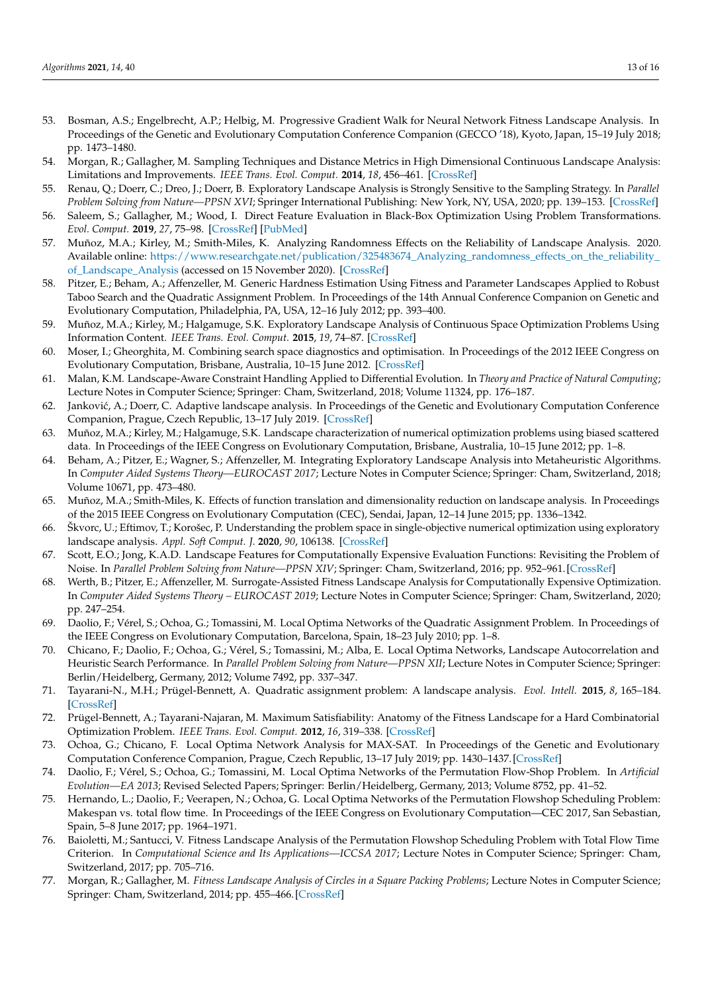- <span id="page-12-0"></span>53. Bosman, A.S.; Engelbrecht, A.P.; Helbig, M. Progressive Gradient Walk for Neural Network Fitness Landscape Analysis. In Proceedings of the Genetic and Evolutionary Computation Conference Companion (GECCO '18), Kyoto, Japan, 15–19 July 2018; pp. 1473–1480.
- <span id="page-12-1"></span>54. Morgan, R.; Gallagher, M. Sampling Techniques and Distance Metrics in High Dimensional Continuous Landscape Analysis: Limitations and Improvements. *IEEE Trans. Evol. Comput.* **2014**, *18*, 456–461. [\[CrossRef\]](http://dx.doi.org/10.1109/TEVC.2013.2281521)
- <span id="page-12-2"></span>55. Renau, Q.; Doerr, C.; Dreo, J.; Doerr, B. Exploratory Landscape Analysis is Strongly Sensitive to the Sampling Strategy. In *Parallel Problem Solving from Nature—PPSN XVI*; Springer International Publishing: New York, NY, USA, 2020; pp. 139–153. [\[CrossRef\]](http://dx.doi.org/10.1007/978-3-030-58115-2_10)
- <span id="page-12-3"></span>56. Saleem, S.; Gallagher, M.; Wood, I. Direct Feature Evaluation in Black-Box Optimization Using Problem Transformations. *Evol. Comput.* **2019**, *27*, 75–98. [\[CrossRef\]](http://dx.doi.org/10.1162/evco_a_00247) [\[PubMed\]](http://www.ncbi.nlm.nih.gov/pubmed/30592633)
- <span id="page-12-4"></span>57. Muñoz, M.A.; Kirley, M.; Smith-Miles, K. Analyzing Randomness Effects on the Reliability of Landscape Analysis. 2020. Available online: [https://www.researchgate.net/publication/325483674\\_Analyzing\\_randomness\\_effects\\_on\\_the\\_reliability\\_](https://www.researchgate.net/publication/325483674_Analyzing_randomness_effects_on_the_reliability_of_Landscape_Analysis) [of\\_Landscape\\_Analysis](https://www.researchgate.net/publication/325483674_Analyzing_randomness_effects_on_the_reliability_of_Landscape_Analysis) (accessed on 15 November 2020). [\[CrossRef\]](http://dx.doi.org/10.13140/RG.2.2.23838.64327/1)
- <span id="page-12-5"></span>58. Pitzer, E.; Beham, A.; Affenzeller, M. Generic Hardness Estimation Using Fitness and Parameter Landscapes Applied to Robust Taboo Search and the Quadratic Assignment Problem. In Proceedings of the 14th Annual Conference Companion on Genetic and Evolutionary Computation, Philadelphia, PA, USA, 12–16 July 2012; pp. 393–400.
- <span id="page-12-6"></span>59. Muñoz, M.A.; Kirley, M.; Halgamuge, S.K. Exploratory Landscape Analysis of Continuous Space Optimization Problems Using Information Content. *IEEE Trans. Evol. Comput.* **2015**, *19*, 74–87. [\[CrossRef\]](http://dx.doi.org/10.1109/TEVC.2014.2302006)
- <span id="page-12-7"></span>60. Moser, I.; Gheorghita, M. Combining search space diagnostics and optimisation. In Proceedings of the 2012 IEEE Congress on Evolutionary Computation, Brisbane, Australia, 10–15 June 2012. [\[CrossRef\]](http://dx.doi.org/10.1109/cec.2012.6256454)
- <span id="page-12-22"></span>61. Malan, K.M. Landscape-Aware Constraint Handling Applied to Differential Evolution. In *Theory and Practice of Natural Computing*; Lecture Notes in Computer Science; Springer: Cham, Switzerland, 2018; Volume 11324, pp. 176–187.
- <span id="page-12-8"></span>62. Janković, A.; Doerr, C. Adaptive landscape analysis. In Proceedings of the Genetic and Evolutionary Computation Conference Companion, Prague, Czech Republic, 13–17 July 2019. [\[CrossRef\]](http://dx.doi.org/10.1145/3319619.3326905)
- <span id="page-12-9"></span>63. Muñoz, M.A.; Kirley, M.; Halgamuge, S.K. Landscape characterization of numerical optimization problems using biased scattered data. In Proceedings of the IEEE Congress on Evolutionary Computation, Brisbane, Australia, 10–15 June 2012; pp. 1–8.
- <span id="page-12-10"></span>64. Beham, A.; Pitzer, E.; Wagner, S.; Affenzeller, M. Integrating Exploratory Landscape Analysis into Metaheuristic Algorithms. In *Computer Aided Systems Theory—EUROCAST 2017*; Lecture Notes in Computer Science; Springer: Cham, Switzerland, 2018; Volume 10671, pp. 473–480.
- <span id="page-12-11"></span>65. Muñoz, M.A.; Smith-Miles, K. Effects of function translation and dimensionality reduction on landscape analysis. In Proceedings of the 2015 IEEE Congress on Evolutionary Computation (CEC), Sendai, Japan, 12–14 June 2015; pp. 1336–1342.
- <span id="page-12-12"></span>66. Škvorc, U.; Eftimov, T.; Korošec, P. Understanding the problem space in single-objective numerical optimization using exploratory landscape analysis. *Appl. Soft Comput. J.* **2020**, *90*, 106138. [\[CrossRef\]](http://dx.doi.org/10.1016/j.asoc.2020.106138)
- <span id="page-12-13"></span>67. Scott, E.O.; Jong, K.A.D. Landscape Features for Computationally Expensive Evaluation Functions: Revisiting the Problem of Noise. In *Parallel Problem Solving from Nature—PPSN XIV*; Springer: Cham, Switzerland, 2016; pp. 952–961. [\[CrossRef\]](http://dx.doi.org/10.1007/978-3-319-45823-6_89)
- <span id="page-12-14"></span>68. Werth, B.; Pitzer, E.; Affenzeller, M. Surrogate-Assisted Fitness Landscape Analysis for Computationally Expensive Optimization. In *Computer Aided Systems Theory – EUROCAST 2019*; Lecture Notes in Computer Science; Springer: Cham, Switzerland, 2020; pp. 247–254.
- <span id="page-12-15"></span>69. Daolio, F.; Vérel, S.; Ochoa, G.; Tomassini, M. Local Optima Networks of the Quadratic Assignment Problem. In Proceedings of the IEEE Congress on Evolutionary Computation, Barcelona, Spain, 18–23 July 2010; pp. 1–8.
- 70. Chicano, F.; Daolio, F.; Ochoa, G.; Vérel, S.; Tomassini, M.; Alba, E. Local Optima Networks, Landscape Autocorrelation and Heuristic Search Performance. In *Parallel Problem Solving from Nature—PPSN XII*; Lecture Notes in Computer Science; Springer: Berlin/Heidelberg, Germany, 2012; Volume 7492, pp. 337–347.
- <span id="page-12-16"></span>71. Tayarani-N., M.H.; Prügel-Bennett, A. Quadratic assignment problem: A landscape analysis. *Evol. Intell.* **2015**, *8*, 165–184. [\[CrossRef\]](http://dx.doi.org/10.1007/s12065-015-0132-z)
- <span id="page-12-17"></span>72. Prügel-Bennett, A.; Tayarani-Najaran, M. Maximum Satisfiability: Anatomy of the Fitness Landscape for a Hard Combinatorial Optimization Problem. *IEEE Trans. Evol. Comput.* **2012**, *16*, 319–338. [\[CrossRef\]](http://dx.doi.org/10.1109/TEVC.2011.2163638)
- <span id="page-12-18"></span>73. Ochoa, G.; Chicano, F. Local Optima Network Analysis for MAX-SAT. In Proceedings of the Genetic and Evolutionary Computation Conference Companion, Prague, Czech Republic, 13–17 July 2019; pp. 1430–1437. [\[CrossRef\]](http://dx.doi.org/10.1145/3319619.3326855)
- <span id="page-12-19"></span>74. Daolio, F.; Vérel, S.; Ochoa, G.; Tomassini, M. Local Optima Networks of the Permutation Flow-Shop Problem. In *Artificial Evolution—EA 2013*; Revised Selected Papers; Springer: Berlin/Heidelberg, Germany, 2013; Volume 8752, pp. 41–52.
- 75. Hernando, L.; Daolio, F.; Veerapen, N.; Ochoa, G. Local Optima Networks of the Permutation Flowshop Scheduling Problem: Makespan vs. total flow time. In Proceedings of the IEEE Congress on Evolutionary Computation—CEC 2017, San Sebastian, Spain, 5–8 June 2017; pp. 1964–1971.
- <span id="page-12-20"></span>Baioletti, M.; Santucci, V. Fitness Landscape Analysis of the Permutation Flowshop Scheduling Problem with Total Flow Time Criterion. In *Computational Science and Its Applications—ICCSA 2017*; Lecture Notes in Computer Science; Springer: Cham, Switzerland, 2017; pp. 705–716.
- <span id="page-12-21"></span>77. Morgan, R.; Gallagher, M. *Fitness Landscape Analysis of Circles in a Square Packing Problems*; Lecture Notes in Computer Science; Springer: Cham, Switzerland, 2014; pp. 455–466. [\[CrossRef\]](http://dx.doi.org/10.1007/978-3-319-13563-2_39)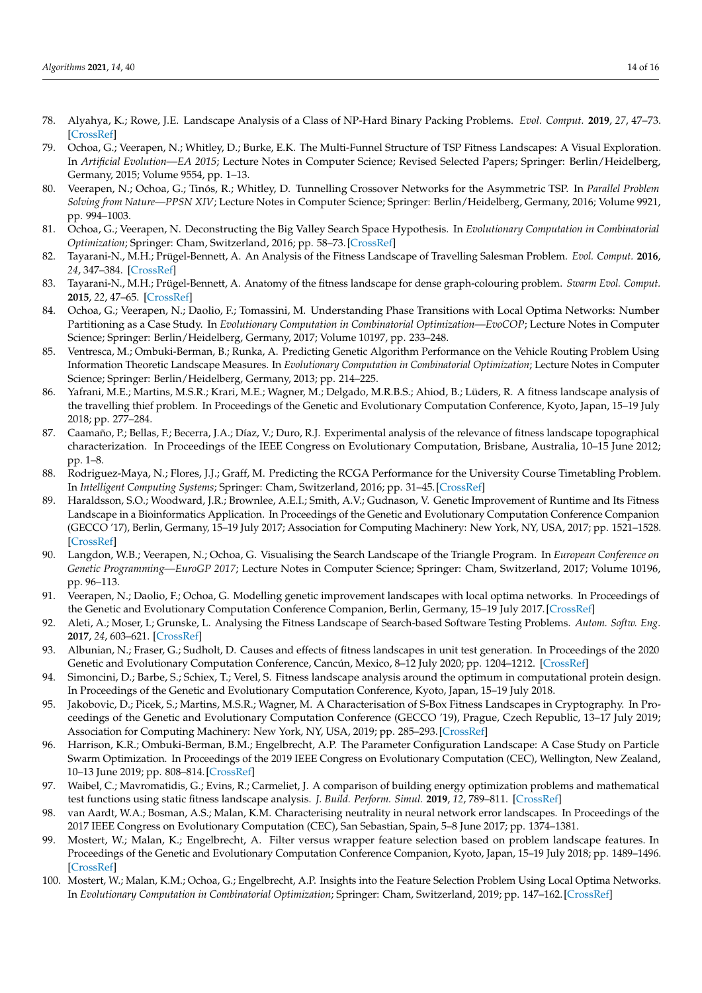- <span id="page-13-0"></span>78. Alyahya, K.; Rowe, J.E. Landscape Analysis of a Class of NP-Hard Binary Packing Problems. *Evol. Comput.* **2019**, *27*, 47–73. [\[CrossRef\]](http://dx.doi.org/10.1162/evco_a_00237)
- <span id="page-13-1"></span>79. Ochoa, G.; Veerapen, N.; Whitley, D.; Burke, E.K. The Multi-Funnel Structure of TSP Fitness Landscapes: A Visual Exploration. In *Artificial Evolution—EA 2015*; Lecture Notes in Computer Science; Revised Selected Papers; Springer: Berlin/Heidelberg, Germany, 2015; Volume 9554, pp. 1–13.
- 80. Veerapen, N.; Ochoa, G.; Tinós, R.; Whitley, D. Tunnelling Crossover Networks for the Asymmetric TSP. In *Parallel Problem Solving from Nature—PPSN XIV*; Lecture Notes in Computer Science; Springer: Berlin/Heidelberg, Germany, 2016; Volume 9921, pp. 994–1003.
- 81. Ochoa, G.; Veerapen, N. Deconstructing the Big Valley Search Space Hypothesis. In *Evolutionary Computation in Combinatorial Optimization*; Springer: Cham, Switzerland, 2016; pp. 58–73. [\[CrossRef\]](http://dx.doi.org/10.1007/978-3-319-30698-8_5)
- <span id="page-13-2"></span>82. Tayarani-N., M.H.; Prügel-Bennett, A. An Analysis of the Fitness Landscape of Travelling Salesman Problem. *Evol. Comput.* **2016**, *24*, 347–384. [\[CrossRef\]](http://dx.doi.org/10.1162/EVCO_a_00154)
- <span id="page-13-3"></span>83. Tayarani-N., M.H.; Prügel-Bennett, A. Anatomy of the fitness landscape for dense graph-colouring problem. *Swarm Evol. Comput.* **2015**, *22*, 47–65. [\[CrossRef\]](http://dx.doi.org/10.1016/j.swevo.2015.01.005)
- <span id="page-13-4"></span>84. Ochoa, G.; Veerapen, N.; Daolio, F.; Tomassini, M. Understanding Phase Transitions with Local Optima Networks: Number Partitioning as a Case Study. In *Evolutionary Computation in Combinatorial Optimization—EvoCOP*; Lecture Notes in Computer Science; Springer: Berlin/Heidelberg, Germany, 2017; Volume 10197, pp. 233–248.
- <span id="page-13-5"></span>85. Ventresca, M.; Ombuki-Berman, B.; Runka, A. Predicting Genetic Algorithm Performance on the Vehicle Routing Problem Using Information Theoretic Landscape Measures. In *Evolutionary Computation in Combinatorial Optimization*; Lecture Notes in Computer Science; Springer: Berlin/Heidelberg, Germany, 2013; pp. 214–225.
- <span id="page-13-6"></span>86. Yafrani, M.E.; Martins, M.S.R.; Krari, M.E.; Wagner, M.; Delgado, M.R.B.S.; Ahiod, B.; Lüders, R. A fitness landscape analysis of the travelling thief problem. In Proceedings of the Genetic and Evolutionary Computation Conference, Kyoto, Japan, 15–19 July 2018; pp. 277–284.
- <span id="page-13-7"></span>87. Caamaño, P.; Bellas, F.; Becerra, J.A.; Díaz, V.; Duro, R.J. Experimental analysis of the relevance of fitness landscape topographical characterization. In Proceedings of the IEEE Congress on Evolutionary Computation, Brisbane, Australia, 10–15 June 2012; pp. 1–8.
- <span id="page-13-8"></span>88. Rodriguez-Maya, N.; Flores, J.J.; Graff, M. Predicting the RCGA Performance for the University Course Timetabling Problem. In *Intelligent Computing Systems*; Springer: Cham, Switzerland, 2016; pp. 31–45. [\[CrossRef\]](http://dx.doi.org/10.1007/978-3-319-30447-2_3)
- <span id="page-13-9"></span>89. Haraldsson, S.O.; Woodward, J.R.; Brownlee, A.E.I.; Smith, A.V.; Gudnason, V. Genetic Improvement of Runtime and Its Fitness Landscape in a Bioinformatics Application. In Proceedings of the Genetic and Evolutionary Computation Conference Companion (GECCO '17), Berlin, Germany, 15–19 July 2017; Association for Computing Machinery: New York, NY, USA, 2017; pp. 1521–1528. [\[CrossRef\]](http://dx.doi.org/10.1145/3067695.3082526)
- 90. Langdon, W.B.; Veerapen, N.; Ochoa, G. Visualising the Search Landscape of the Triangle Program. In *European Conference on Genetic Programming—EuroGP 2017*; Lecture Notes in Computer Science; Springer: Cham, Switzerland, 2017; Volume 10196, pp. 96–113.
- <span id="page-13-10"></span>91. Veerapen, N.; Daolio, F.; Ochoa, G. Modelling genetic improvement landscapes with local optima networks. In Proceedings of the Genetic and Evolutionary Computation Conference Companion, Berlin, Germany, 15–19 July 2017. [\[CrossRef\]](http://dx.doi.org/10.1145/3067695.3082518)
- <span id="page-13-11"></span>92. Aleti, A.; Moser, I.; Grunske, L. Analysing the Fitness Landscape of Search-based Software Testing Problems. *Autom. Softw. Eng.* **2017**, *24*, 603–621. [\[CrossRef\]](http://dx.doi.org/10.1007/s10515-016-0197-7)
- <span id="page-13-12"></span>93. Albunian, N.; Fraser, G.; Sudholt, D. Causes and effects of fitness landscapes in unit test generation. In Proceedings of the 2020 Genetic and Evolutionary Computation Conference, Cancún, Mexico, 8–12 July 2020; pp. 1204–1212. [\[CrossRef\]](http://dx.doi.org/10.1145/3377930.3390194)
- <span id="page-13-13"></span>94. Simoncini, D.; Barbe, S.; Schiex, T.; Verel, S. Fitness landscape analysis around the optimum in computational protein design. In Proceedings of the Genetic and Evolutionary Computation Conference, Kyoto, Japan, 15–19 July 2018.
- <span id="page-13-14"></span>95. Jakobovic, D.; Picek, S.; Martins, M.S.R.; Wagner, M. A Characterisation of S-Box Fitness Landscapes in Cryptography. In Proceedings of the Genetic and Evolutionary Computation Conference (GECCO '19), Prague, Czech Republic, 13–17 July 2019; Association for Computing Machinery: New York, NY, USA, 2019; pp. 285–293. [\[CrossRef\]](http://dx.doi.org/10.1145/3321707.3321850)
- <span id="page-13-15"></span>96. Harrison, K.R.; Ombuki-Berman, B.M.; Engelbrecht, A.P. The Parameter Configuration Landscape: A Case Study on Particle Swarm Optimization. In Proceedings of the 2019 IEEE Congress on Evolutionary Computation (CEC), Wellington, New Zealand, 10–13 June 2019; pp. 808–814. [\[CrossRef\]](http://dx.doi.org/10.1109/cec.2019.8790242)
- <span id="page-13-16"></span>97. Waibel, C.; Mavromatidis, G.; Evins, R.; Carmeliet, J. A comparison of building energy optimization problems and mathematical test functions using static fitness landscape analysis. *J. Build. Perform. Simul.* **2019**, *12*, 789–811. [\[CrossRef\]](http://dx.doi.org/10.1080/19401493.2019.1671897)
- <span id="page-13-17"></span>98. van Aardt, W.A.; Bosman, A.S.; Malan, K.M. Characterising neutrality in neural network error landscapes. In Proceedings of the 2017 IEEE Congress on Evolutionary Computation (CEC), San Sebastian, Spain, 5–8 June 2017; pp. 1374–1381.
- <span id="page-13-18"></span>99. Mostert, W.; Malan, K.; Engelbrecht, A. Filter versus wrapper feature selection based on problem landscape features. In Proceedings of the Genetic and Evolutionary Computation Conference Companion, Kyoto, Japan, 15–19 July 2018; pp. 1489–1496. [\[CrossRef\]](http://dx.doi.org/10.1145/3205651.3208305)
- <span id="page-13-19"></span>100. Mostert, W.; Malan, K.M.; Ochoa, G.; Engelbrecht, A.P. Insights into the Feature Selection Problem Using Local Optima Networks. In *Evolutionary Computation in Combinatorial Optimization*; Springer: Cham, Switzerland, 2019; pp. 147–162. [\[CrossRef\]](http://dx.doi.org/10.1007/978-3-030-16711-0_10)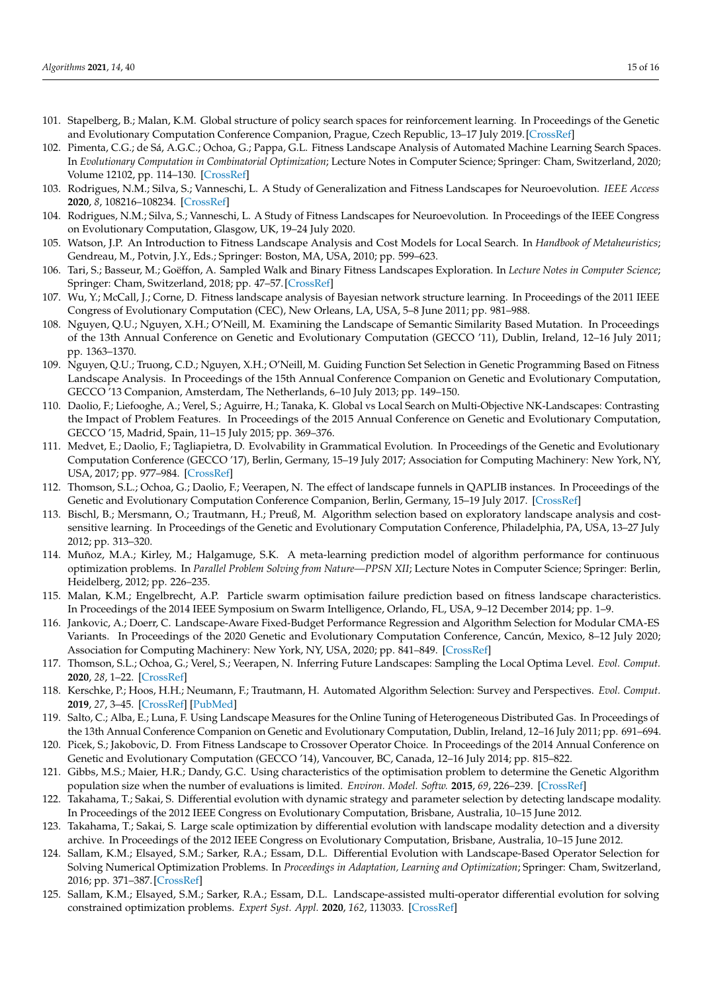- <span id="page-14-0"></span>101. Stapelberg, B.; Malan, K.M. Global structure of policy search spaces for reinforcement learning. In Proceedings of the Genetic and Evolutionary Computation Conference Companion, Prague, Czech Republic, 13–17 July 2019. [\[CrossRef\]](http://dx.doi.org/10.1145/3319619.3326843)
- <span id="page-14-1"></span>102. Pimenta, C.G.; de Sá, A.G.C.; Ochoa, G.; Pappa, G.L. Fitness Landscape Analysis of Automated Machine Learning Search Spaces. In *Evolutionary Computation in Combinatorial Optimization*; Lecture Notes in Computer Science; Springer: Cham, Switzerland, 2020; Volume 12102, pp. 114–130. [\[CrossRef\]](http://dx.doi.org/10.1007/978-3-030-43680-3_8)
- <span id="page-14-2"></span>103. Rodrigues, N.M.; Silva, S.; Vanneschi, L. A Study of Generalization and Fitness Landscapes for Neuroevolution. *IEEE Access* **2020**, *8*, 108216–108234. [\[CrossRef\]](http://dx.doi.org/10.1109/ACCESS.2020.3001505)
- <span id="page-14-3"></span>104. Rodrigues, N.M.; Silva, S.; Vanneschi, L. A Study of Fitness Landscapes for Neuroevolution. In Proceedings of the IEEE Congress on Evolutionary Computation, Glasgow, UK, 19–24 July 2020.
- <span id="page-14-4"></span>105. Watson, J.P. An Introduction to Fitness Landscape Analysis and Cost Models for Local Search. In *Handbook of Metaheuristics*; Gendreau, M., Potvin, J.Y., Eds.; Springer: Boston, MA, USA, 2010; pp. 599–623.
- <span id="page-14-5"></span>106. Tari, S.; Basseur, M.; Goëffon, A. Sampled Walk and Binary Fitness Landscapes Exploration. In *Lecture Notes in Computer Science*; Springer: Cham, Switzerland, 2018; pp. 47–57. [\[CrossRef\]](http://dx.doi.org/10.1007/978-3-319-78133-4_4)
- <span id="page-14-6"></span>107. Wu, Y.; McCall, J.; Corne, D. Fitness landscape analysis of Bayesian network structure learning. In Proceedings of the 2011 IEEE Congress of Evolutionary Computation (CEC), New Orleans, LA, USA, 5–8 June 2011; pp. 981–988.
- <span id="page-14-7"></span>108. Nguyen, Q.U.; Nguyen, X.H.; O'Neill, M. Examining the Landscape of Semantic Similarity Based Mutation. In Proceedings of the 13th Annual Conference on Genetic and Evolutionary Computation (GECCO '11), Dublin, Ireland, 12–16 July 2011; pp. 1363–1370.
- <span id="page-14-8"></span>109. Nguyen, Q.U.; Truong, C.D.; Nguyen, X.H.; O'Neill, M. Guiding Function Set Selection in Genetic Programming Based on Fitness Landscape Analysis. In Proceedings of the 15th Annual Conference Companion on Genetic and Evolutionary Computation, GECCO '13 Companion, Amsterdam, The Netherlands, 6–10 July 2013; pp. 149–150.
- <span id="page-14-9"></span>110. Daolio, F.; Liefooghe, A.; Verel, S.; Aguirre, H.; Tanaka, K. Global vs Local Search on Multi-Objective NK-Landscapes: Contrasting the Impact of Problem Features. In Proceedings of the 2015 Annual Conference on Genetic and Evolutionary Computation, GECCO '15, Madrid, Spain, 11–15 July 2015; pp. 369–376.
- <span id="page-14-10"></span>111. Medvet, E.; Daolio, F.; Tagliapietra, D. Evolvability in Grammatical Evolution. In Proceedings of the Genetic and Evolutionary Computation Conference (GECCO '17), Berlin, Germany, 15–19 July 2017; Association for Computing Machinery: New York, NY, USA, 2017; pp. 977–984. [\[CrossRef\]](http://dx.doi.org/10.1145/3071178.3071298)
- <span id="page-14-11"></span>112. Thomson, S.L.; Ochoa, G.; Daolio, F.; Veerapen, N. The effect of landscape funnels in QAPLIB instances. In Proceedings of the Genetic and Evolutionary Computation Conference Companion, Berlin, Germany, 15–19 July 2017. [\[CrossRef\]](http://dx.doi.org/10.1145/3067695.3082512)
- <span id="page-14-12"></span>113. Bischl, B.; Mersmann, O.; Trautmann, H.; Preuß, M. Algorithm selection based on exploratory landscape analysis and costsensitive learning. In Proceedings of the Genetic and Evolutionary Computation Conference, Philadelphia, PA, USA, 13–27 July 2012; pp. 313–320.
- <span id="page-14-13"></span>114. Muñoz, M.A.; Kirley, M.; Halgamuge, S.K. A meta-learning prediction model of algorithm performance for continuous optimization problems. In *Parallel Problem Solving from Nature—PPSN XII*; Lecture Notes in Computer Science; Springer: Berlin, Heidelberg, 2012; pp. 226–235.
- <span id="page-14-14"></span>115. Malan, K.M.; Engelbrecht, A.P. Particle swarm optimisation failure prediction based on fitness landscape characteristics. In Proceedings of the 2014 IEEE Symposium on Swarm Intelligence, Orlando, FL, USA, 9–12 December 2014; pp. 1–9.
- <span id="page-14-15"></span>116. Jankovic, A.; Doerr, C. Landscape-Aware Fixed-Budget Performance Regression and Algorithm Selection for Modular CMA-ES Variants. In Proceedings of the 2020 Genetic and Evolutionary Computation Conference, Cancún, Mexico, 8–12 July 2020; Association for Computing Machinery: New York, NY, USA, 2020; pp. 841–849. [\[CrossRef\]](http://dx.doi.org/10.1145/3377930.3390183)
- <span id="page-14-16"></span>117. Thomson, S.L.; Ochoa, G.; Verel, S.; Veerapen, N. Inferring Future Landscapes: Sampling the Local Optima Level. *Evol. Comput.* **2020**, *28*, 1–22. [\[CrossRef\]](http://dx.doi.org/10.1162/evco_a_00271)
- <span id="page-14-17"></span>118. Kerschke, P.; Hoos, H.H.; Neumann, F.; Trautmann, H. Automated Algorithm Selection: Survey and Perspectives. *Evol. Comput.* **2019**, *27*, 3–45. [\[CrossRef\]](http://dx.doi.org/10.1162/evco_a_00242) [\[PubMed\]](http://www.ncbi.nlm.nih.gov/pubmed/30475672)
- <span id="page-14-18"></span>119. Salto, C.; Alba, E.; Luna, F. Using Landscape Measures for the Online Tuning of Heterogeneous Distributed Gas. In Proceedings of the 13th Annual Conference Companion on Genetic and Evolutionary Computation, Dublin, Ireland, 12–16 July 2011; pp. 691–694.
- <span id="page-14-19"></span>120. Picek, S.; Jakobovic, D. From Fitness Landscape to Crossover Operator Choice. In Proceedings of the 2014 Annual Conference on Genetic and Evolutionary Computation (GECCO '14), Vancouver, BC, Canada, 12–16 July 2014; pp. 815–822.
- <span id="page-14-20"></span>121. Gibbs, M.S.; Maier, H.R.; Dandy, G.C. Using characteristics of the optimisation problem to determine the Genetic Algorithm population size when the number of evaluations is limited. *Environ. Model. Softw.* **2015**, *69*, 226–239. [\[CrossRef\]](http://dx.doi.org/10.1016/j.envsoft.2014.08.023)
- <span id="page-14-21"></span>122. Takahama, T.; Sakai, S. Differential evolution with dynamic strategy and parameter selection by detecting landscape modality. In Proceedings of the 2012 IEEE Congress on Evolutionary Computation, Brisbane, Australia, 10–15 June 2012.
- <span id="page-14-22"></span>123. Takahama, T.; Sakai, S. Large scale optimization by differential evolution with landscape modality detection and a diversity archive. In Proceedings of the 2012 IEEE Congress on Evolutionary Computation, Brisbane, Australia, 10–15 June 2012.
- <span id="page-14-23"></span>124. Sallam, K.M.; Elsayed, S.M.; Sarker, R.A.; Essam, D.L. Differential Evolution with Landscape-Based Operator Selection for Solving Numerical Optimization Problems. In *Proceedings in Adaptation, Learning and Optimization*; Springer: Cham, Switzerland, 2016; pp. 371–387. [\[CrossRef\]](http://dx.doi.org/10.1007/978-3-319-49049-6_27)
- <span id="page-14-24"></span>125. Sallam, K.M.; Elsayed, S.M.; Sarker, R.A.; Essam, D.L. Landscape-assisted multi-operator differential evolution for solving constrained optimization problems. *Expert Syst. Appl.* **2020**, *162*, 113033. [\[CrossRef\]](http://dx.doi.org/10.1016/j.eswa.2019.113033)